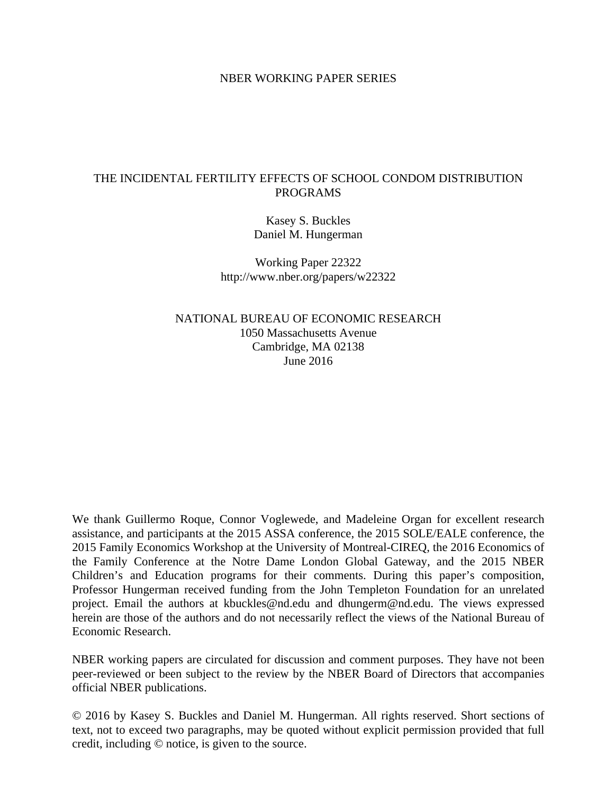## NBER WORKING PAPER SERIES

## THE INCIDENTAL FERTILITY EFFECTS OF SCHOOL CONDOM DISTRIBUTION PROGRAMS

Kasey S. Buckles Daniel M. Hungerman

Working Paper 22322 http://www.nber.org/papers/w22322

NATIONAL BUREAU OF ECONOMIC RESEARCH 1050 Massachusetts Avenue Cambridge, MA 02138 June 2016

We thank Guillermo Roque, Connor Voglewede, and Madeleine Organ for excellent research assistance, and participants at the 2015 ASSA conference, the 2015 SOLE/EALE conference, the 2015 Family Economics Workshop at the University of Montreal-CIREQ, the 2016 Economics of the Family Conference at the Notre Dame London Global Gateway, and the 2015 NBER Children's and Education programs for their comments. During this paper's composition, Professor Hungerman received funding from the John Templeton Foundation for an unrelated project. Email the authors at kbuckles@nd.edu and dhungerm@nd.edu. The views expressed herein are those of the authors and do not necessarily reflect the views of the National Bureau of Economic Research.

NBER working papers are circulated for discussion and comment purposes. They have not been peer-reviewed or been subject to the review by the NBER Board of Directors that accompanies official NBER publications.

© 2016 by Kasey S. Buckles and Daniel M. Hungerman. All rights reserved. Short sections of text, not to exceed two paragraphs, may be quoted without explicit permission provided that full credit, including © notice, is given to the source.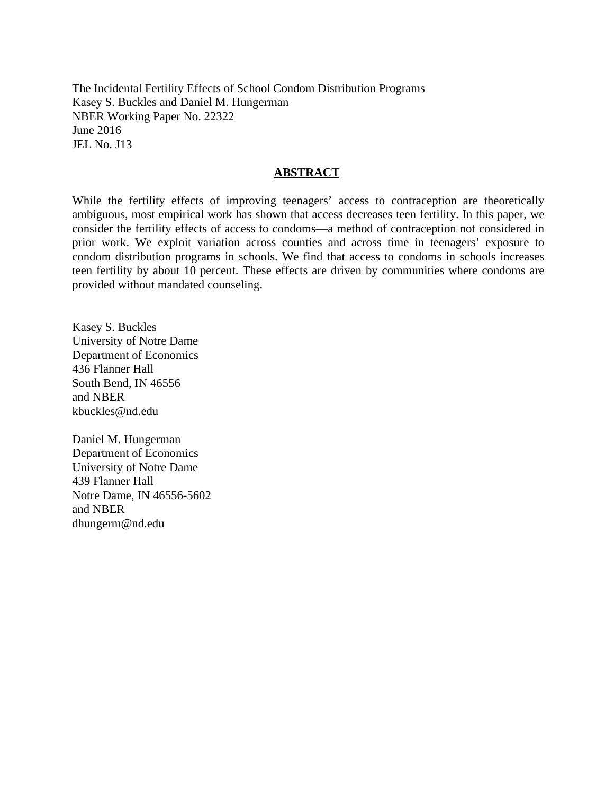The Incidental Fertility Effects of School Condom Distribution Programs Kasey S. Buckles and Daniel M. Hungerman NBER Working Paper No. 22322 June 2016 JEL No. J13

## **ABSTRACT**

While the fertility effects of improving teenagers' access to contraception are theoretically ambiguous, most empirical work has shown that access decreases teen fertility. In this paper, we consider the fertility effects of access to condoms—a method of contraception not considered in prior work. We exploit variation across counties and across time in teenagers' exposure to condom distribution programs in schools. We find that access to condoms in schools increases teen fertility by about 10 percent. These effects are driven by communities where condoms are provided without mandated counseling.

Kasey S. Buckles University of Notre Dame Department of Economics 436 Flanner Hall South Bend, IN 46556 and NBER kbuckles@nd.edu

Daniel M. Hungerman Department of Economics University of Notre Dame 439 Flanner Hall Notre Dame, IN 46556-5602 and NBER dhungerm@nd.edu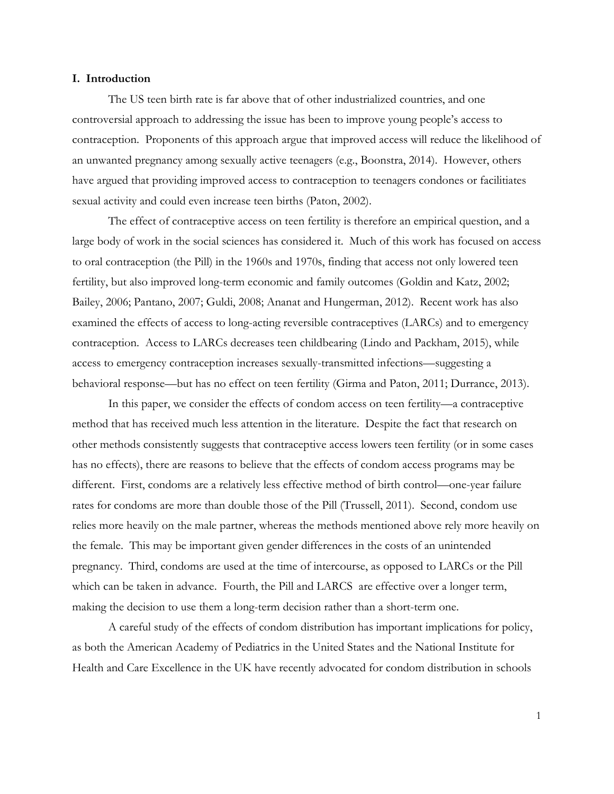#### **I. Introduction**

The US teen birth rate is far above that of other industrialized countries, and one controversial approach to addressing the issue has been to improve young people's access to contraception. Proponents of this approach argue that improved access will reduce the likelihood of an unwanted pregnancy among sexually active teenagers (e.g., Boonstra, 2014). However, others have argued that providing improved access to contraception to teenagers condones or facilitiates sexual activity and could even increase teen births (Paton, 2002).

The effect of contraceptive access on teen fertility is therefore an empirical question, and a large body of work in the social sciences has considered it. Much of this work has focused on access to oral contraception (the Pill) in the 1960s and 1970s, finding that access not only lowered teen fertility, but also improved long-term economic and family outcomes (Goldin and Katz, 2002; Bailey, 2006; Pantano, 2007; Guldi, 2008; Ananat and Hungerman, 2012). Recent work has also examined the effects of access to long-acting reversible contraceptives (LARCs) and to emergency contraception. Access to LARCs decreases teen childbearing (Lindo and Packham, 2015), while access to emergency contraception increases sexually-transmitted infections—suggesting a behavioral response—but has no effect on teen fertility (Girma and Paton, 2011; Durrance, 2013).

In this paper, we consider the effects of condom access on teen fertility—a contraceptive method that has received much less attention in the literature. Despite the fact that research on other methods consistently suggests that contraceptive access lowers teen fertility (or in some cases has no effects), there are reasons to believe that the effects of condom access programs may be different. First, condoms are a relatively less effective method of birth control—one-year failure rates for condoms are more than double those of the Pill (Trussell, 2011). Second, condom use relies more heavily on the male partner, whereas the methods mentioned above rely more heavily on the female. This may be important given gender differences in the costs of an unintended pregnancy. Third, condoms are used at the time of intercourse, as opposed to LARCs or the Pill which can be taken in advance. Fourth, the Pill and LARCS are effective over a longer term, making the decision to use them a long-term decision rather than a short-term one.

A careful study of the effects of condom distribution has important implications for policy, as both the American Academy of Pediatrics in the United States and the National Institute for Health and Care Excellence in the UK have recently advocated for condom distribution in schools

1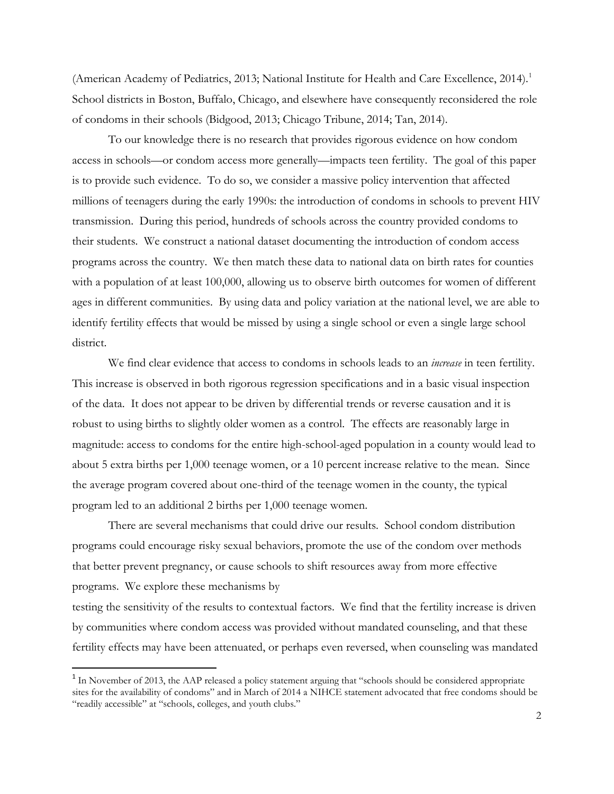(American Academy of Pediatrics, 2013; National Institute for Health and Care Excellence, 2014).<sup>1</sup> School districts in Boston, Buffalo, Chicago, and elsewhere have consequently reconsidered the role of condoms in their schools (Bidgood, 2013; Chicago Tribune, 2014; Tan, 2014).

 To our knowledge there is no research that provides rigorous evidence on how condom access in schools—or condom access more generally—impacts teen fertility. The goal of this paper is to provide such evidence. To do so, we consider a massive policy intervention that affected millions of teenagers during the early 1990s: the introduction of condoms in schools to prevent HIV transmission. During this period, hundreds of schools across the country provided condoms to their students. We construct a national dataset documenting the introduction of condom access programs across the country. We then match these data to national data on birth rates for counties with a population of at least 100,000, allowing us to observe birth outcomes for women of different ages in different communities. By using data and policy variation at the national level, we are able to identify fertility effects that would be missed by using a single school or even a single large school district.

We find clear evidence that access to condoms in schools leads to an *increase* in teen fertility. This increase is observed in both rigorous regression specifications and in a basic visual inspection of the data. It does not appear to be driven by differential trends or reverse causation and it is robust to using births to slightly older women as a control. The effects are reasonably large in magnitude: access to condoms for the entire high-school-aged population in a county would lead to about 5 extra births per 1,000 teenage women, or a 10 percent increase relative to the mean. Since the average program covered about one-third of the teenage women in the county, the typical program led to an additional 2 births per 1,000 teenage women.

There are several mechanisms that could drive our results. School condom distribution programs could encourage risky sexual behaviors, promote the use of the condom over methods that better prevent pregnancy, or cause schools to shift resources away from more effective programs. We explore these mechanisms by

testing the sensitivity of the results to contextual factors. We find that the fertility increase is driven by communities where condom access was provided without mandated counseling, and that these fertility effects may have been attenuated, or perhaps even reversed, when counseling was mandated

l

<span id="page-3-0"></span><sup>&</sup>lt;sup>1</sup> In November of 2013, the AAP released a policy statement arguing that "schools should be considered appropriate" sites for the availability of condoms" and in March of 2014 a NIHCE statement advocated that free condoms should be "readily accessible" at "schools, colleges, and youth clubs."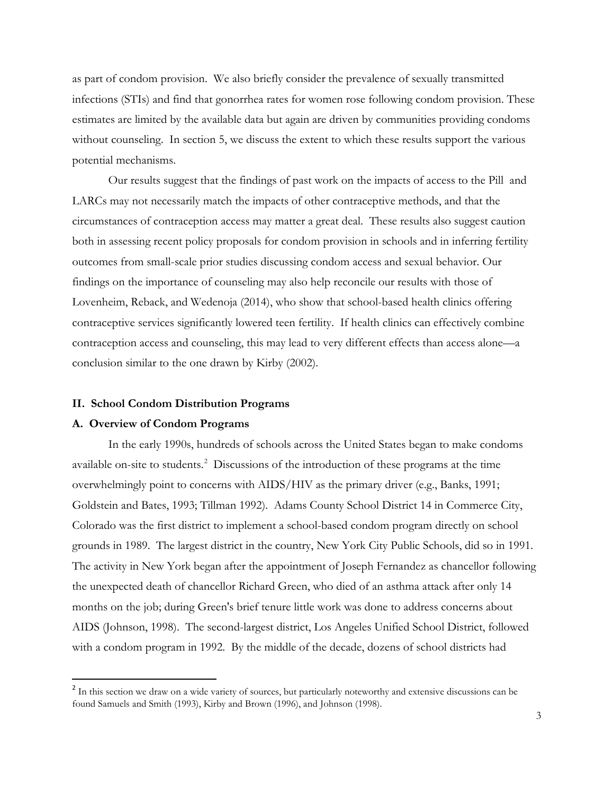as part of condom provision. We also briefly consider the prevalence of sexually transmitted infections (STIs) and find that gonorrhea rates for women rose following condom provision. These estimates are limited by the available data but again are driven by communities providing condoms without counseling. In section 5, we discuss the extent to which these results support the various potential mechanisms.

Our results suggest that the findings of past work on the impacts of access to the Pill and LARCs may not necessarily match the impacts of other contraceptive methods, and that the circumstances of contraception access may matter a great deal. These results also suggest caution both in assessing recent policy proposals for condom provision in schools and in inferring fertility outcomes from small-scale prior studies discussing condom access and sexual behavior. Our findings on the importance of counseling may also help reconcile our results with those of Lovenheim, Reback, and Wedenoja (2014), who show that school-based health clinics offering contraceptive services significantly lowered teen fertility. If health clinics can effectively combine contraception access and counseling, this may lead to very different effects than access alone—a conclusion similar to the one drawn by Kirby (2002).

#### **II. School Condom Distribution Programs**

## **A. Overview of Condom Programs**

 $\overline{\phantom{a}}$ 

In the early 1990s, hundreds of schools across the United States began to make condoms available on-site to students.<sup>[2](#page-4-0)</sup> Discussions of the introduction of these programs at the time overwhelmingly point to concerns with AIDS/HIV as the primary driver (e.g., Banks, 1991; Goldstein and Bates, 1993; Tillman 1992). Adams County School District 14 in Commerce City, Colorado was the first district to implement a school-based condom program directly on school grounds in 1989. The largest district in the country, New York City Public Schools, did so in 1991. The activity in New York began after the appointment of Joseph Fernandez as chancellor following the unexpected death of chancellor Richard Green, who died of an asthma attack after only 14 months on the job; during Green's brief tenure little work was done to address concerns about AIDS (Johnson, 1998). The second-largest district, Los Angeles Unified School District, followed with a condom program in 1992. By the middle of the decade, dozens of school districts had

<span id="page-4-0"></span><sup>&</sup>lt;sup>2</sup> In this section we draw on a wide variety of sources, but particularly noteworthy and extensive discussions can be found Samuels and Smith (1993), Kirby and Brown (1996), and Johnson (1998).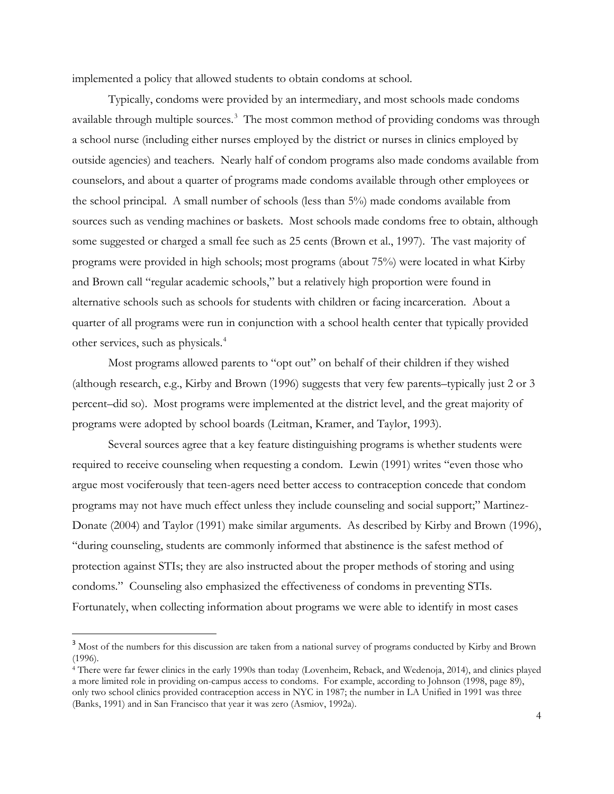implemented a policy that allowed students to obtain condoms at school.

Typically, condoms were provided by an intermediary, and most schools made condoms available through multiple sources.<sup>[3](#page-5-0)</sup> The most common method of providing condoms was through a school nurse (including either nurses employed by the district or nurses in clinics employed by outside agencies) and teachers. Nearly half of condom programs also made condoms available from counselors, and about a quarter of programs made condoms available through other employees or the school principal. A small number of schools (less than 5%) made condoms available from sources such as vending machines or baskets. Most schools made condoms free to obtain, although some suggested or charged a small fee such as 25 cents (Brown et al., 1997). The vast majority of programs were provided in high schools; most programs (about 75%) were located in what Kirby and Brown call "regular academic schools," but a relatively high proportion were found in alternative schools such as schools for students with children or facing incarceration. About a quarter of all programs were run in conjunction with a school health center that typically provided other services, such as physicals.<sup>[4](#page-5-1)</sup>

Most programs allowed parents to "opt out" on behalf of their children if they wished (although research, e.g., Kirby and Brown (1996) suggests that very few parents–typically just 2 or 3 percent–did so). Most programs were implemented at the district level, and the great majority of programs were adopted by school boards (Leitman, Kramer, and Taylor, 1993).

Several sources agree that a key feature distinguishing programs is whether students were required to receive counseling when requesting a condom. Lewin (1991) writes "even those who argue most vociferously that teen-agers need better access to contraception concede that condom programs may not have much effect unless they include counseling and social support;" Martinez-Donate (2004) and Taylor (1991) make similar arguments. As described by Kirby and Brown (1996), "during counseling, students are commonly informed that abstinence is the safest method of protection against STIs; they are also instructed about the proper methods of storing and using condoms." Counseling also emphasized the effectiveness of condoms in preventing STIs. Fortunately, when collecting information about programs we were able to identify in most cases

<span id="page-5-0"></span><sup>&</sup>lt;sup>3</sup> Most of the numbers for this discussion are taken from a national survey of programs conducted by Kirby and Brown (1996).

<span id="page-5-1"></span><sup>4</sup> There were far fewer clinics in the early 1990s than today (Lovenheim, Reback, and Wedenoja, 2014), and clinics played a more limited role in providing on-campus access to condoms. For example, according to Johnson (1998, page 89), only two school clinics provided contraception access in NYC in 1987; the number in LA Unified in 1991 was three (Banks, 1991) and in San Francisco that year it was zero (Asmiov, 1992a).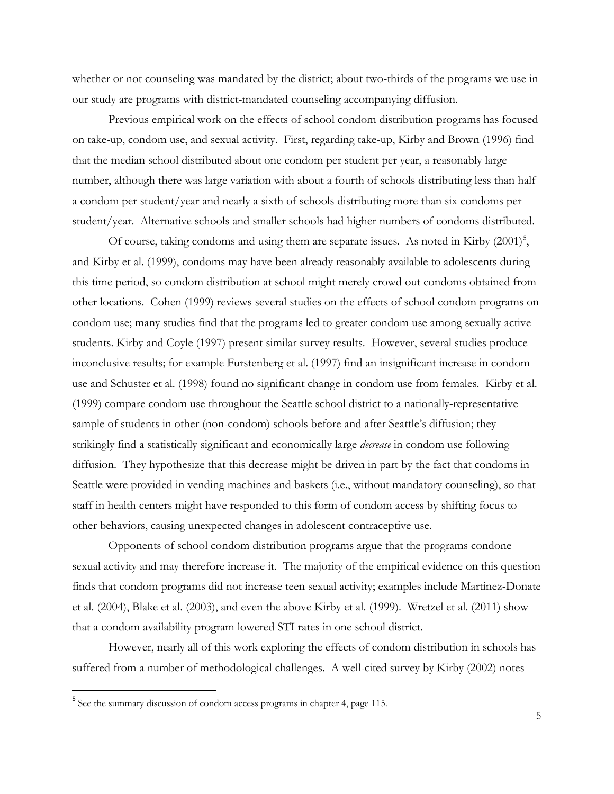whether or not counseling was mandated by the district; about two-thirds of the programs we use in our study are programs with district-mandated counseling accompanying diffusion.

Previous empirical work on the effects of school condom distribution programs has focused on take-up, condom use, and sexual activity. First, regarding take-up, Kirby and Brown (1996) find that the median school distributed about one condom per student per year, a reasonably large number, although there was large variation with about a fourth of schools distributing less than half a condom per student/year and nearly a sixth of schools distributing more than six condoms per student/year. Alternative schools and smaller schools had higher numbers of condoms distributed.

Of course, taking condoms and using them are separate issues. As noted in Kirby  $(2001)^5$  $(2001)^5$ , and Kirby et al. (1999), condoms may have been already reasonably available to adolescents during this time period, so condom distribution at school might merely crowd out condoms obtained from other locations. Cohen (1999) reviews several studies on the effects of school condom programs on condom use; many studies find that the programs led to greater condom use among sexually active students. Kirby and Coyle (1997) present similar survey results. However, several studies produce inconclusive results; for example Furstenberg et al. (1997) find an insignificant increase in condom use and Schuster et al. (1998) found no significant change in condom use from females. Kirby et al. (1999) compare condom use throughout the Seattle school district to a nationally-representative sample of students in other (non-condom) schools before and after Seattle's diffusion; they strikingly find a statistically significant and economically large *decrease* in condom use following diffusion. They hypothesize that this decrease might be driven in part by the fact that condoms in Seattle were provided in vending machines and baskets (i.e., without mandatory counseling), so that staff in health centers might have responded to this form of condom access by shifting focus to other behaviors, causing unexpected changes in adolescent contraceptive use.

Opponents of school condom distribution programs argue that the programs condone sexual activity and may therefore increase it. The majority of the empirical evidence on this question finds that condom programs did not increase teen sexual activity; examples include Martinez-Donate et al. (2004), Blake et al. (2003), and even the above Kirby et al. (1999). Wretzel et al. (2011) show that a condom availability program lowered STI rates in one school district.

However, nearly all of this work exploring the effects of condom distribution in schools has suffered from a number of methodological challenges. A well-cited survey by Kirby (2002) notes

<span id="page-6-0"></span><sup>5</sup> See the summary discussion of condom access programs in chapter 4, page 115.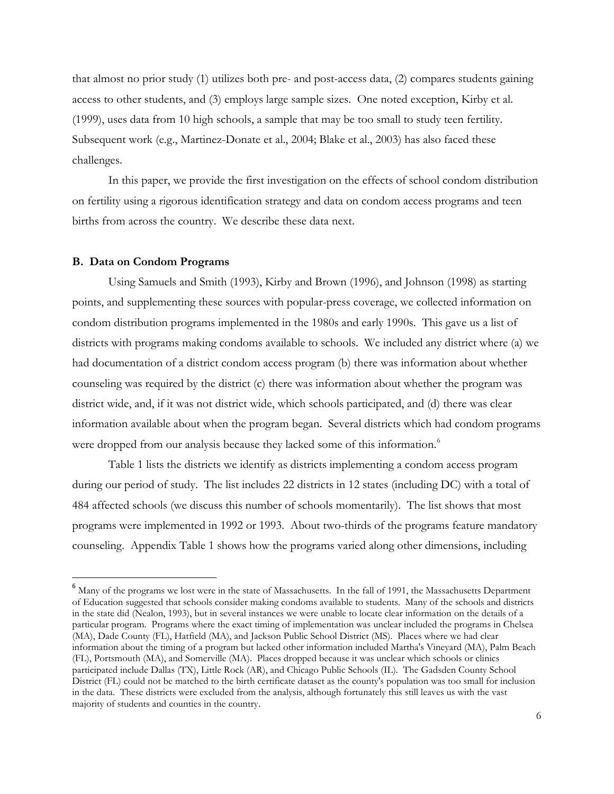that almost no prior study (1) utilizes both pre- and post-access data, (2) compares students gaining access to other students, and (3) employs large sample sizes. One noted exception, Kirby et al. (1999), uses data from 10 high schools, a sample that may be too small to study teen fertility. Subsequent work (e.g., Martinez-Donate et al., 2004; Blake et al., 2003) has also faced these challenges.

In this paper, we provide the first investigation on the effects of school condom distribution on fertility using a rigorous identification strategy and data on condom access programs and teen births from across the country. We describe these data next.

### **B. Data on Condom Programs**

l

Using Samuels and Smith (1993), Kirby and Brown (1996), and Johnson (1998) as starting points, and supplementing these sources with popular-press coverage, we collected information on condom distribution programs implemented in the 1980s and early 1990s. This gave us a list of districts with programs making condoms available to schools. We included any district where (a) we had documentation of a district condom access program (b) there was information about whether counseling was required by the district (c) there was information about whether the program was district wide, and, if it was not district wide, which schools participated, and (d) there was clear information available about when the program began. Several districts which had condom programs were dropped from our analysis because they lacked some of this information.<sup>[6](#page-7-0)</sup>

Table 1 lists the districts we identify as districts implementing a condom access program during our period of study. The list includes 22 districts in 12 states (including DC) with a total of 484 affected schools (we discuss this number of schools momentarily). The list shows that most programs were implemented in 1992 or 1993. About two-thirds of the programs feature mandatory counseling. Appendix Table 1 shows how the programs varied along other dimensions, including

<span id="page-7-0"></span><sup>&</sup>lt;sup>6</sup> Many of the programs we lost were in the state of Massachusetts. In the fall of 1991, the Massachusetts Department of Education suggested that schools consider making condoms available to students. Many of the schools and districts in the state did (Nealon, 1993), but in several instances we were unable to locate clear information on the details of a particular program. Programs where the exact timing of implementation was unclear included the programs in Chelsea (MA), Dade County (FL), Hatfield (MA), and Jackson Public School District (MS). Places where we had clear information about the timing of a program but lacked other information included Martha's Vineyard (MA), Palm Beach (FL), Portsmouth (MA), and Somerville (MA). Places dropped because it was unclear which schools or clinics participated include Dallas (TX), Little Rock (AR), and Chicago Public Schools (IL). The Gadsden County School District (FL) could not be matched to the birth certificate dataset as the county's population was too small for inclusion in the data. These districts were excluded from the analysis, although fortunately this still leaves us with the vast majority of students and counties in the country.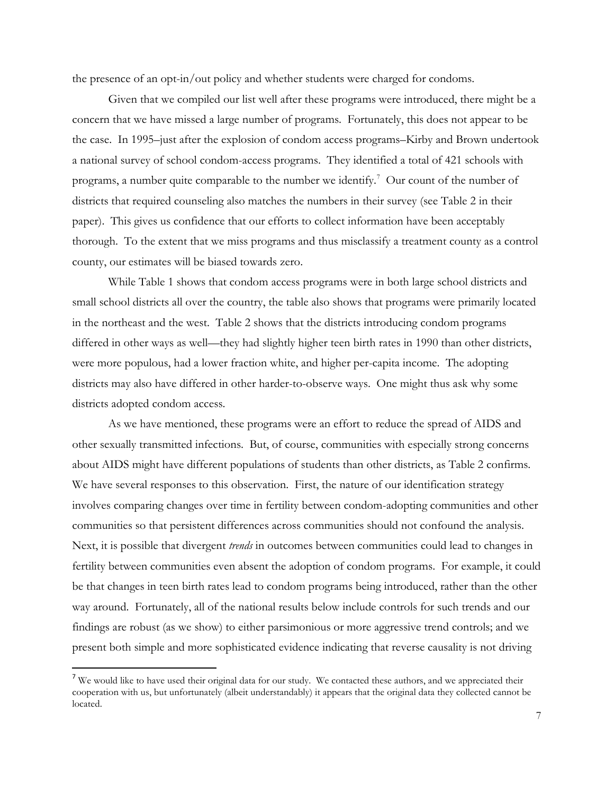the presence of an opt-in/out policy and whether students were charged for condoms.

Given that we compiled our list well after these programs were introduced, there might be a concern that we have missed a large number of programs. Fortunately, this does not appear to be the case. In 1995–just after the explosion of condom access programs–Kirby and Brown undertook a national survey of school condom-access programs. They identified a total of 421 schools with programs, a number quite comparable to the number we identify.<sup>[7](#page-8-0)</sup> Our count of the number of districts that required counseling also matches the numbers in their survey (see Table 2 in their paper). This gives us confidence that our efforts to collect information have been acceptably thorough. To the extent that we miss programs and thus misclassify a treatment county as a control county, our estimates will be biased towards zero.

While Table 1 shows that condom access programs were in both large school districts and small school districts all over the country, the table also shows that programs were primarily located in the northeast and the west. Table 2 shows that the districts introducing condom programs differed in other ways as well—they had slightly higher teen birth rates in 1990 than other districts, were more populous, had a lower fraction white, and higher per-capita income. The adopting districts may also have differed in other harder-to-observe ways. One might thus ask why some districts adopted condom access.

As we have mentioned, these programs were an effort to reduce the spread of AIDS and other sexually transmitted infections. But, of course, communities with especially strong concerns about AIDS might have different populations of students than other districts, as Table 2 confirms. We have several responses to this observation. First, the nature of our identification strategy involves comparing changes over time in fertility between condom-adopting communities and other communities so that persistent differences across communities should not confound the analysis. Next, it is possible that divergent *trends* in outcomes between communities could lead to changes in fertility between communities even absent the adoption of condom programs. For example, it could be that changes in teen birth rates lead to condom programs being introduced, rather than the other way around. Fortunately, all of the national results below include controls for such trends and our findings are robust (as we show) to either parsimonious or more aggressive trend controls; and we present both simple and more sophisticated evidence indicating that reverse causality is not driving

l

<span id="page-8-0"></span><sup>&</sup>lt;sup>7</sup> We would like to have used their original data for our study. We contacted these authors, and we appreciated their cooperation with us, but unfortunately (albeit understandably) it appears that the original data they collected cannot be located.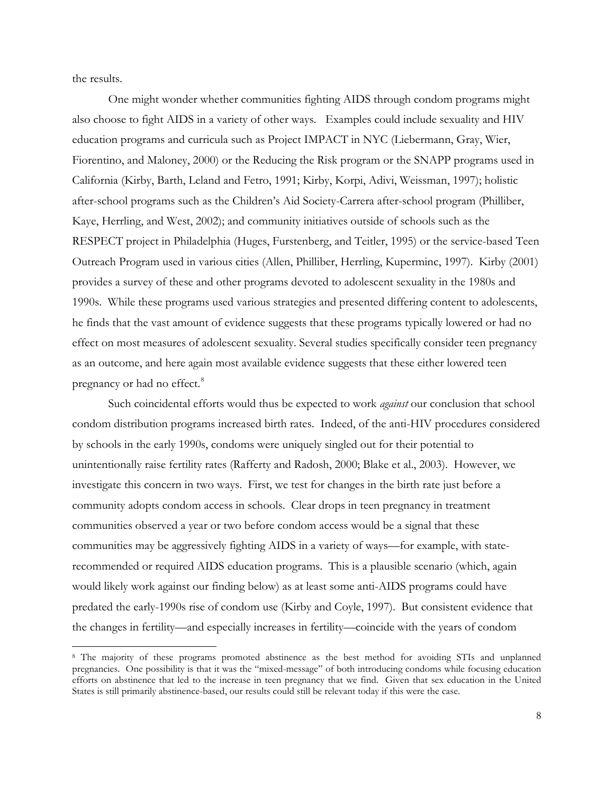the results.

l

One might wonder whether communities fighting AIDS through condom programs might also choose to fight AIDS in a variety of other ways. Examples could include sexuality and HIV education programs and curricula such as Project IMPACT in NYC (Liebermann, Gray, Wier, Fiorentino, and Maloney, 2000) or the Reducing the Risk program or the SNAPP programs used in California (Kirby, Barth, Leland and Fetro, 1991; Kirby, Korpi, Adivi, Weissman, 1997); holistic after-school programs such as the Children's Aid Society-Carrera after-school program (Philliber, Kaye, Herrling, and West, 2002); and community initiatives outside of schools such as the RESPECT project in Philadelphia (Huges, Furstenberg, and Teitler, 1995) or the service-based Teen Outreach Program used in various cities (Allen, Philliber, Herrling, Kuperminc, 1997). Kirby (2001) provides a survey of these and other programs devoted to adolescent sexuality in the 1980s and 1990s. While these programs used various strategies and presented differing content to adolescents, he finds that the vast amount of evidence suggests that these programs typically lowered or had no effect on most measures of adolescent sexuality. Several studies specifically consider teen pregnancy as an outcome, and here again most available evidence suggests that these either lowered teen pregnancy or had no effect.<sup>[8](#page-9-0)</sup>

Such coincidental efforts would thus be expected to work *against* our conclusion that school condom distribution programs increased birth rates. Indeed, of the anti-HIV procedures considered by schools in the early 1990s, condoms were uniquely singled out for their potential to unintentionally raise fertility rates (Rafferty and Radosh, 2000; Blake et al., 2003). However, we investigate this concern in two ways. First, we test for changes in the birth rate just before a community adopts condom access in schools. Clear drops in teen pregnancy in treatment communities observed a year or two before condom access would be a signal that these communities may be aggressively fighting AIDS in a variety of ways—for example, with staterecommended or required AIDS education programs. This is a plausible scenario (which, again would likely work against our finding below) as at least some anti-AIDS programs could have predated the early-1990s rise of condom use (Kirby and Coyle, 1997). But consistent evidence that the changes in fertility—and especially increases in fertility—coincide with the years of condom

<span id="page-9-0"></span><sup>&</sup>lt;sup>8</sup> The majority of these programs promoted abstinence as the best method for avoiding STIs and unplanned pregnancies. One possibility is that it was the "mixed-message" of both introducing condoms while focusing education efforts on abstinence that led to the increase in teen pregnancy that we find. Given that sex education in the United States is still primarily abstinence-based, our results could still be relevant today if this were the case.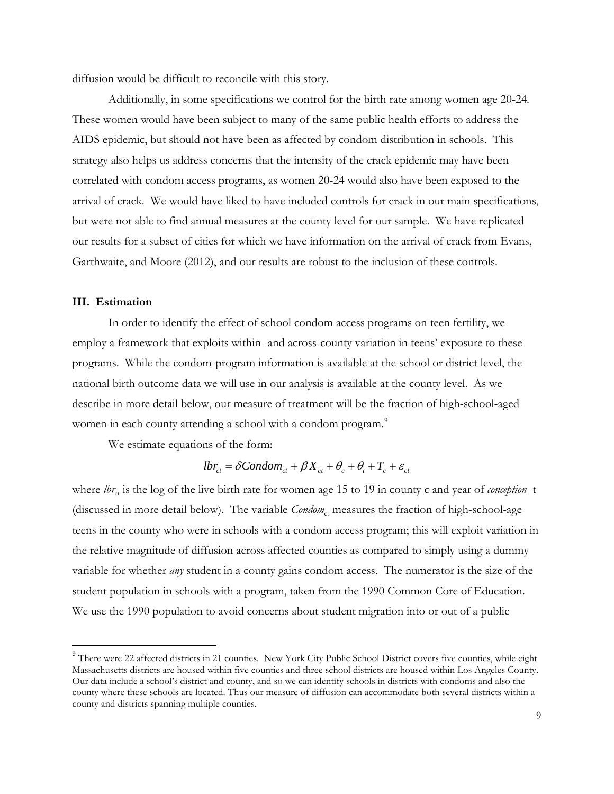diffusion would be difficult to reconcile with this story.

Additionally, in some specifications we control for the birth rate among women age 20-24. These women would have been subject to many of the same public health efforts to address the AIDS epidemic, but should not have been as affected by condom distribution in schools. This strategy also helps us address concerns that the intensity of the crack epidemic may have been correlated with condom access programs, as women 20-24 would also have been exposed to the arrival of crack. We would have liked to have included controls for crack in our main specifications, but were not able to find annual measures at the county level for our sample. We have replicated our results for a subset of cities for which we have information on the arrival of crack from Evans, Garthwaite, and Moore (2012), and our results are robust to the inclusion of these controls.

### **III. Estimation**

 $\overline{\phantom{a}}$ 

In order to identify the effect of school condom access programs on teen fertility, we employ a framework that exploits within- and across-county variation in teens' exposure to these programs. While the condom-program information is available at the school or district level, the national birth outcome data we will use in our analysis is available at the county level. As we describe in more detail below, our measure of treatment will be the fraction of high-school-aged women in each county attending a school with a condom program.<sup>[9](#page-10-0)</sup>

We estimate equations of the form:

$$
lbr_{ct} = \delta Condom_{ct} + \beta X_{ct} + \theta_c + \theta_t + T_c + \varepsilon_{ct}
$$

where *lbr<sub>ct</sub>* is the log of the live birth rate for women age 15 to 19 in county c and year of *conception* t (discussed in more detail below). The variable *Condom*<sub>ct</sub> measures the fraction of high-school-age teens in the county who were in schools with a condom access program; this will exploit variation in the relative magnitude of diffusion across affected counties as compared to simply using a dummy variable for whether *any* student in a county gains condom access. The numerator is the size of the student population in schools with a program, taken from the 1990 Common Core of Education. We use the 1990 population to avoid concerns about student migration into or out of a public

<span id="page-10-0"></span><sup>&</sup>lt;sup>9</sup> There were 22 affected districts in 21 counties. New York City Public School District covers five counties, while eight Massachusetts districts are housed within five counties and three school districts are housed within Los Angeles County. Our data include a school's district and county, and so we can identify schools in districts with condoms and also the county where these schools are located. Thus our measure of diffusion can accommodate both several districts within a county and districts spanning multiple counties.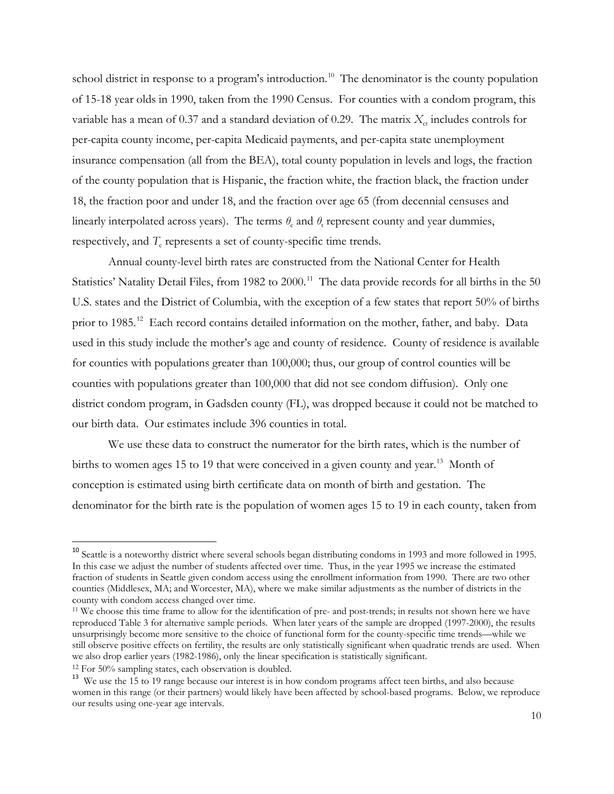school district in response to a program's introduction.<sup>[10](#page-11-0)</sup> The denominator is the county population of 15-18 year olds in 1990, taken from the 1990 Census. For counties with a condom program, this variable has a mean of 0.37 and a standard deviation of 0.29. The matrix  $X_{\text{ct}}$  includes controls for per-capita county income, per-capita Medicaid payments, and per-capita state unemployment insurance compensation (all from the BEA), total county population in levels and logs, the fraction of the county population that is Hispanic, the fraction white, the fraction black, the fraction under 18, the fraction poor and under 18, and the fraction over age 65 (from decennial censuses and linearly interpolated across years). The terms  $\theta_c$  and  $\theta_t$  represent county and year dummies, respectively, and  $T_c$  represents a set of county-specific time trends.

Annual county-level birth rates are constructed from the National Center for Health Statistics' Natality Detail Files, from 1982 to 2000.<sup>[11](#page-11-1)</sup> The data provide records for all births in the 50 U.S. states and the District of Columbia, with the exception of a few states that report 50% of births prior to 1985.<sup>12</sup> Each record contains detailed information on the mother, father, and baby. Data used in this study include the mother's age and county of residence. County of residence is available for counties with populations greater than 100,000; thus, our group of control counties will be counties with populations greater than 100,000 that did not see condom diffusion). Only one district condom program, in Gadsden county (FL), was dropped because it could not be matched to our birth data. Our estimates include 396 counties in total.

We use these data to construct the numerator for the birth rates, which is the number of births to women ages 15 to 19 that were conceived in a given county and year.<sup>13</sup> Month of conception is estimated using birth certificate data on month of birth and gestation. The denominator for the birth rate is the population of women ages 15 to 19 in each county, taken from

<span id="page-11-0"></span><sup>&</sup>lt;sup>10</sup> Seattle is a noteworthy district where several schools began distributing condoms in 1993 and more followed in 1995. In this case we adjust the number of students affected over time. Thus, in the year 1995 we increase the estimated fraction of students in Seattle given condom access using the enrollment information from 1990. There are two other counties (Middlesex, MA; and Worcester, MA), where we make similar adjustments as the number of districts in the county with condom access changed over time.

<span id="page-11-1"></span><sup>11</sup> We choose this time frame to allow for the identification of pre- and post-trends; in results not shown here we have reproduced Table 3 for alternative sample periods. When later years of the sample are dropped (1997-2000), the results unsurprisingly become more sensitive to the choice of functional form for the county-specific time trends—while we still observe positive effects on fertility, the results are only statistically significant when quadratic trends are used. When we also drop earlier years (1982-1986), only the linear specification is statistically significant.

<sup>12</sup> For 50% sampling states, each observation is doubled.

<span id="page-11-3"></span><span id="page-11-2"></span><sup>&</sup>lt;sup>13</sup> We use the 15 to 19 range because our interest is in how condom programs affect teen births, and also because women in this range (or their partners) would likely have been affected by school-based programs. Below, we reproduce our results using one-year age intervals.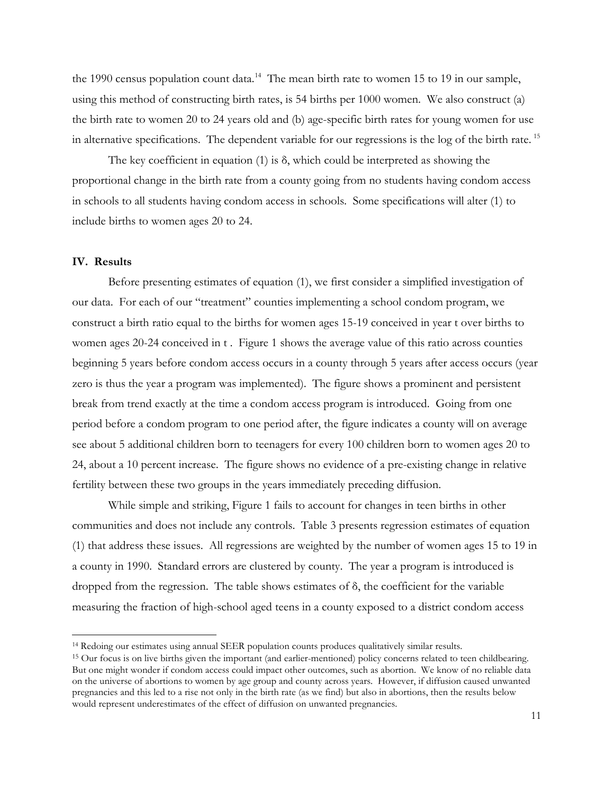the 1990 census population count data.<sup>14</sup> The mean birth rate to women 15 to 19 in our sample, using this method of constructing birth rates, is 54 births per 1000 women. We also construct (a) the birth rate to women 20 to 24 years old and (b) age-specific birth rates for young women for use in alternative specifications. The dependent variable for our regressions is the log of the birth rate.<sup>[15](#page-12-1)</sup>

The key coefficient in equation (1) is  $\delta$ , which could be interpreted as showing the proportional change in the birth rate from a county going from no students having condom access in schools to all students having condom access in schools. Some specifications will alter (1) to include births to women ages 20 to 24.

### **IV. Results**

 $\overline{\phantom{a}}$ 

Before presenting estimates of equation (1), we first consider a simplified investigation of our data. For each of our "treatment" counties implementing a school condom program, we construct a birth ratio equal to the births for women ages 15-19 conceived in year t over births to women ages 20-24 conceived in t. Figure 1 shows the average value of this ratio across counties beginning 5 years before condom access occurs in a county through 5 years after access occurs (year zero is thus the year a program was implemented). The figure shows a prominent and persistent break from trend exactly at the time a condom access program is introduced. Going from one period before a condom program to one period after, the figure indicates a county will on average see about 5 additional children born to teenagers for every 100 children born to women ages 20 to 24, about a 10 percent increase. The figure shows no evidence of a pre-existing change in relative fertility between these two groups in the years immediately preceding diffusion.

While simple and striking, Figure 1 fails to account for changes in teen births in other communities and does not include any controls. Table 3 presents regression estimates of equation (1) that address these issues. All regressions are weighted by the number of women ages 15 to 19 in a county in 1990. Standard errors are clustered by county. The year a program is introduced is dropped from the regression. The table shows estimates of δ, the coefficient for the variable measuring the fraction of high-school aged teens in a county exposed to a district condom access

<span id="page-12-0"></span><sup>14</sup> Redoing our estimates using annual SEER population counts produces qualitatively similar results.

<span id="page-12-1"></span><sup>15</sup> Our focus is on live births given the important (and earlier-mentioned) policy concerns related to teen childbearing. But one might wonder if condom access could impact other outcomes, such as abortion. We know of no reliable data on the universe of abortions to women by age group and county across years. However, if diffusion caused unwanted pregnancies and this led to a rise not only in the birth rate (as we find) but also in abortions, then the results below would represent underestimates of the effect of diffusion on unwanted pregnancies.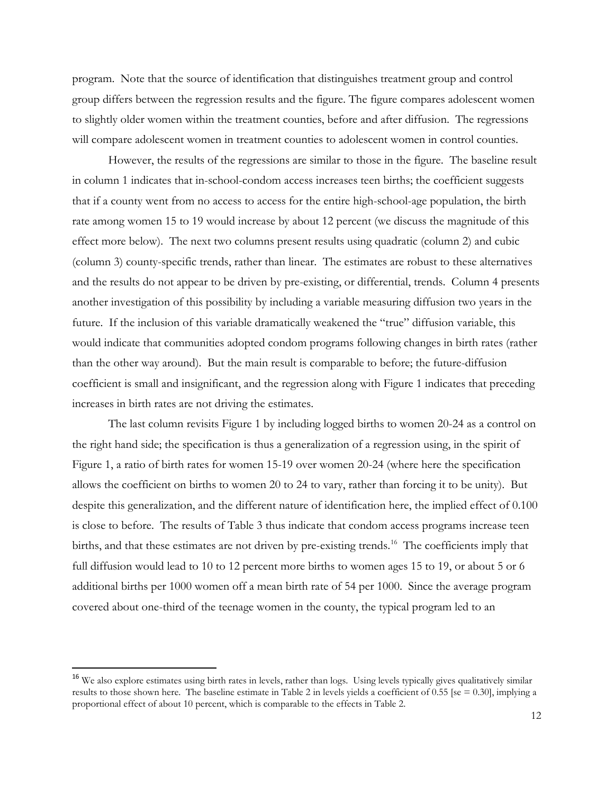program. Note that the source of identification that distinguishes treatment group and control group differs between the regression results and the figure. The figure compares adolescent women to slightly older women within the treatment counties, before and after diffusion. The regressions will compare adolescent women in treatment counties to adolescent women in control counties.

However, the results of the regressions are similar to those in the figure. The baseline result in column 1 indicates that in-school-condom access increases teen births; the coefficient suggests that if a county went from no access to access for the entire high-school-age population, the birth rate among women 15 to 19 would increase by about 12 percent (we discuss the magnitude of this effect more below). The next two columns present results using quadratic (column 2) and cubic (column 3) county-specific trends, rather than linear. The estimates are robust to these alternatives and the results do not appear to be driven by pre-existing, or differential, trends. Column 4 presents another investigation of this possibility by including a variable measuring diffusion two years in the future. If the inclusion of this variable dramatically weakened the "true" diffusion variable, this would indicate that communities adopted condom programs following changes in birth rates (rather than the other way around). But the main result is comparable to before; the future-diffusion coefficient is small and insignificant, and the regression along with Figure 1 indicates that preceding increases in birth rates are not driving the estimates.

The last column revisits Figure 1 by including logged births to women 20-24 as a control on the right hand side; the specification is thus a generalization of a regression using, in the spirit of Figure 1, a ratio of birth rates for women 15-19 over women 20-24 (where here the specification allows the coefficient on births to women 20 to 24 to vary, rather than forcing it to be unity). But despite this generalization, and the different nature of identification here, the implied effect of 0.100 is close to before. The results of Table 3 thus indicate that condom access programs increase teen births, and that these estimates are not driven by pre-existing trends.<sup>[16](#page-13-0)</sup> The coefficients imply that full diffusion would lead to 10 to 12 percent more births to women ages 15 to 19, or about 5 or 6 additional births per 1000 women off a mean birth rate of 54 per 1000. Since the average program covered about one-third of the teenage women in the county, the typical program led to an

l

<span id="page-13-0"></span><sup>&</sup>lt;sup>16</sup> We also explore estimates using birth rates in levels, rather than logs. Using levels typically gives qualitatively similar results to those shown here. The baseline estimate in Table 2 in levels yields a coefficient of 0.55 [se = 0.30], implying a proportional effect of about 10 percent, which is comparable to the effects in Table 2.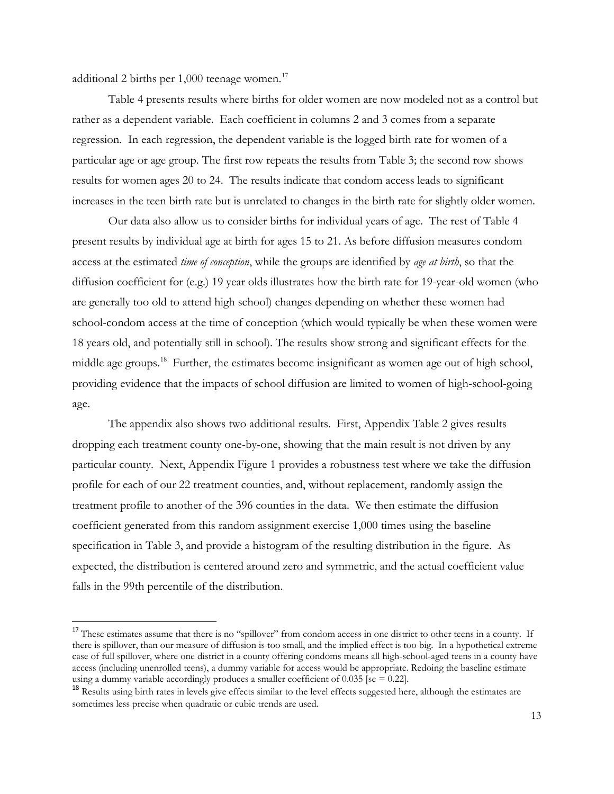additional 2 births per  $1,000$  teenage women.<sup>17</sup>

 $\overline{\phantom{a}}$ 

Table 4 presents results where births for older women are now modeled not as a control but rather as a dependent variable. Each coefficient in columns 2 and 3 comes from a separate regression. In each regression, the dependent variable is the logged birth rate for women of a particular age or age group. The first row repeats the results from Table 3; the second row shows results for women ages 20 to 24. The results indicate that condom access leads to significant increases in the teen birth rate but is unrelated to changes in the birth rate for slightly older women.

Our data also allow us to consider births for individual years of age. The rest of Table 4 present results by individual age at birth for ages 15 to 21. As before diffusion measures condom access at the estimated *time of conception*, while the groups are identified by *age at birth*, so that the diffusion coefficient for (e.g.) 19 year olds illustrates how the birth rate for 19-year-old women (who are generally too old to attend high school) changes depending on whether these women had school-condom access at the time of conception (which would typically be when these women were 18 years old, and potentially still in school). The results show strong and significant effects for the middle age groups.<sup>[18](#page-14-1)</sup> Further, the estimates become insignificant as women age out of high school, providing evidence that the impacts of school diffusion are limited to women of high-school-going age.

The appendix also shows two additional results. First, Appendix Table 2 gives results dropping each treatment county one-by-one, showing that the main result is not driven by any particular county. Next, Appendix Figure 1 provides a robustness test where we take the diffusion profile for each of our 22 treatment counties, and, without replacement, randomly assign the treatment profile to another of the 396 counties in the data. We then estimate the diffusion coefficient generated from this random assignment exercise 1,000 times using the baseline specification in Table 3, and provide a histogram of the resulting distribution in the figure. As expected, the distribution is centered around zero and symmetric, and the actual coefficient value falls in the 99th percentile of the distribution.

<span id="page-14-0"></span><sup>&</sup>lt;sup>17</sup> These estimates assume that there is no "spillover" from condom access in one district to other teens in a county. If there is spillover, than our measure of diffusion is too small, and the implied effect is too big. In a hypothetical extreme case of full spillover, where one district in a county offering condoms means all high-school-aged teens in a county have access (including unenrolled teens), a dummy variable for access would be appropriate. Redoing the baseline estimate using a dummy variable accordingly produces a smaller coefficient of  $0.035$  [se =  $0.22$ ].

<span id="page-14-1"></span><sup>&</sup>lt;sup>18</sup> Results using birth rates in levels give effects similar to the level effects suggested here, although the estimates are sometimes less precise when quadratic or cubic trends are used.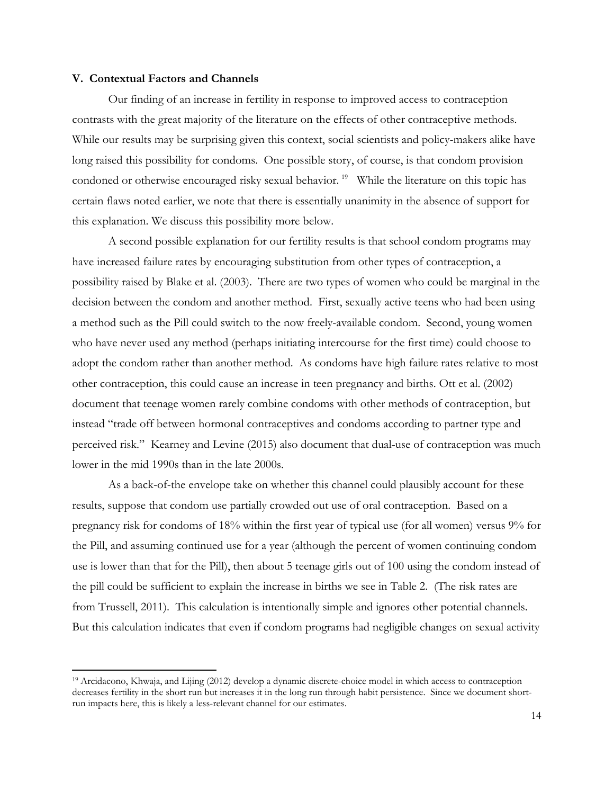#### **V. Contextual Factors and Channels**

 $\overline{\phantom{a}}$ 

Our finding of an increase in fertility in response to improved access to contraception contrasts with the great majority of the literature on the effects of other contraceptive methods. While our results may be surprising given this context, social scientists and policy-makers alike have long raised this possibility for condoms. One possible story, of course, is that condom provision condoned or otherwise encouraged risky sexual behavior.<sup>[19](#page-15-0)</sup> While the literature on this topic has certain flaws noted earlier, we note that there is essentially unanimity in the absence of support for this explanation. We discuss this possibility more below.

A second possible explanation for our fertility results is that school condom programs may have increased failure rates by encouraging substitution from other types of contraception, a possibility raised by Blake et al. (2003). There are two types of women who could be marginal in the decision between the condom and another method. First, sexually active teens who had been using a method such as the Pill could switch to the now freely-available condom. Second, young women who have never used any method (perhaps initiating intercourse for the first time) could choose to adopt the condom rather than another method. As condoms have high failure rates relative to most other contraception, this could cause an increase in teen pregnancy and births. Ott et al. (2002) document that teenage women rarely combine condoms with other methods of contraception, but instead "trade off between hormonal contraceptives and condoms according to partner type and perceived risk." Kearney and Levine (2015) also document that dual-use of contraception was much lower in the mid 1990s than in the late 2000s.

As a back-of-the envelope take on whether this channel could plausibly account for these results, suppose that condom use partially crowded out use of oral contraception. Based on a pregnancy risk for condoms of 18% within the first year of typical use (for all women) versus 9% for the Pill, and assuming continued use for a year (although the percent of women continuing condom use is lower than that for the Pill), then about 5 teenage girls out of 100 using the condom instead of the pill could be sufficient to explain the increase in births we see in Table 2. (The risk rates are from Trussell, 2011). This calculation is intentionally simple and ignores other potential channels. But this calculation indicates that even if condom programs had negligible changes on sexual activity

<span id="page-15-0"></span><sup>19</sup> Arcidacono, Khwaja, and Lijing (2012) develop a dynamic discrete-choice model in which access to contraception decreases fertility in the short run but increases it in the long run through habit persistence. Since we document shortrun impacts here, this is likely a less-relevant channel for our estimates.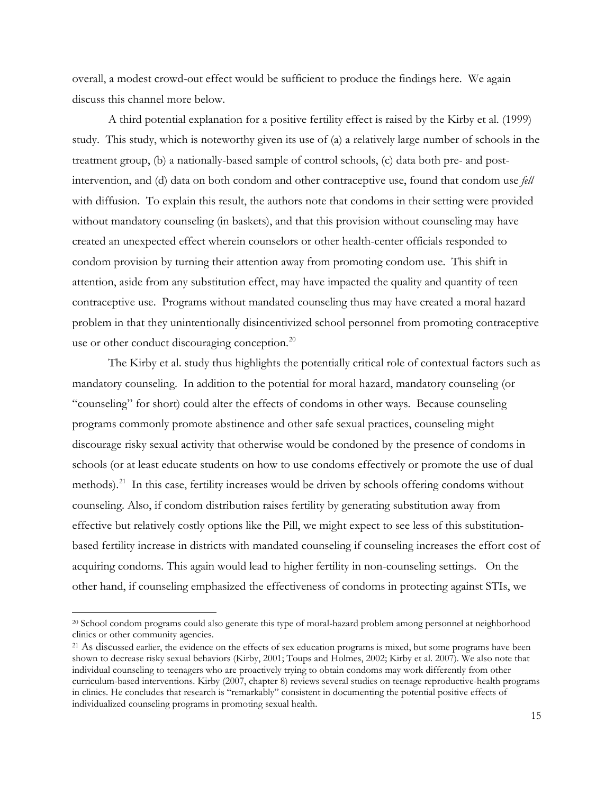overall, a modest crowd-out effect would be sufficient to produce the findings here. We again discuss this channel more below.

A third potential explanation for a positive fertility effect is raised by the Kirby et al. (1999) study. This study, which is noteworthy given its use of (a) a relatively large number of schools in the treatment group, (b) a nationally-based sample of control schools, (c) data both pre- and postintervention, and (d) data on both condom and other contraceptive use, found that condom use *fell*  with diffusion. To explain this result, the authors note that condoms in their setting were provided without mandatory counseling (in baskets), and that this provision without counseling may have created an unexpected effect wherein counselors or other health-center officials responded to condom provision by turning their attention away from promoting condom use. This shift in attention, aside from any substitution effect, may have impacted the quality and quantity of teen contraceptive use. Programs without mandated counseling thus may have created a moral hazard problem in that they unintentionally disincentivized school personnel from promoting contraceptive use or other conduct discouraging conception.<sup>20</sup>

The Kirby et al. study thus highlights the potentially critical role of contextual factors such as mandatory counseling. In addition to the potential for moral hazard, mandatory counseling (or "counseling" for short) could alter the effects of condoms in other ways. Because counseling programs commonly promote abstinence and other safe sexual practices, counseling might discourage risky sexual activity that otherwise would be condoned by the presence of condoms in schools (or at least educate students on how to use condoms effectively or promote the use of dual methods).<sup>21</sup> In this case, fertility increases would be driven by schools offering condoms without counseling. Also, if condom distribution raises fertility by generating substitution away from effective but relatively costly options like the Pill, we might expect to see less of this substitutionbased fertility increase in districts with mandated counseling if counseling increases the effort cost of acquiring condoms. This again would lead to higher fertility in non-counseling settings. On the other hand, if counseling emphasized the effectiveness of condoms in protecting against STIs, we

<span id="page-16-0"></span><sup>&</sup>lt;sup>20</sup> School condom programs could also generate this type of moral-hazard problem among personnel at neighborhood clinics or other community agencies.

<span id="page-16-1"></span><sup>&</sup>lt;sup>21</sup> As discussed earlier, the evidence on the effects of sex education programs is mixed, but some programs have been shown to decrease risky sexual behaviors (Kirby, 2001; Toups and Holmes, 2002; Kirby et al. 2007). We also note that individual counseling to teenagers who are proactively trying to obtain condoms may work differently from other curriculum-based interventions. Kirby (2007, chapter 8) reviews several studies on teenage reproductive-health programs in clinics. He concludes that research is "remarkably" consistent in documenting the potential positive effects of individualized counseling programs in promoting sexual health.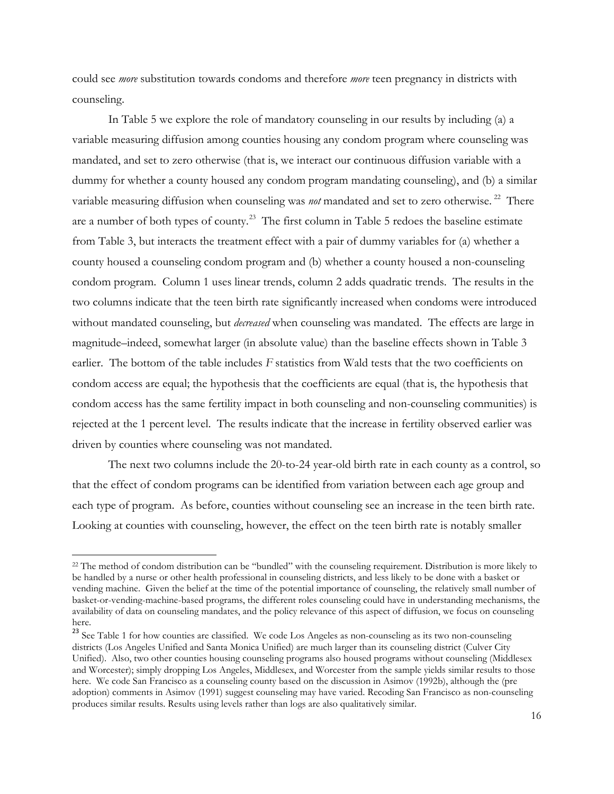could see *more* substitution towards condoms and therefore *more* teen pregnancy in districts with counseling.

In Table 5 we explore the role of mandatory counseling in our results by including (a) a variable measuring diffusion among counties housing any condom program where counseling was mandated, and set to zero otherwise (that is, we interact our continuous diffusion variable with a dummy for whether a county housed any condom program mandating counseling), and (b) a similar variable measuring diffusion when counseling was *not* mandated and set to zero otherwise.<sup>[22](#page-17-0)</sup> There are a number of both types of county.<sup>[23](#page-17-1)</sup> The first column in Table 5 redoes the baseline estimate from Table 3, but interacts the treatment effect with a pair of dummy variables for (a) whether a county housed a counseling condom program and (b) whether a county housed a non-counseling condom program. Column 1 uses linear trends, column 2 adds quadratic trends. The results in the two columns indicate that the teen birth rate significantly increased when condoms were introduced without mandated counseling, but *decreased* when counseling was mandated. The effects are large in magnitude–indeed, somewhat larger (in absolute value) than the baseline effects shown in Table 3 earlier. The bottom of the table includes *F* statistics from Wald tests that the two coefficients on condom access are equal; the hypothesis that the coefficients are equal (that is, the hypothesis that condom access has the same fertility impact in both counseling and non-counseling communities) is rejected at the 1 percent level. The results indicate that the increase in fertility observed earlier was driven by counties where counseling was not mandated.

The next two columns include the 20-to-24 year-old birth rate in each county as a control, so that the effect of condom programs can be identified from variation between each age group and each type of program. As before, counties without counseling see an increase in the teen birth rate. Looking at counties with counseling, however, the effect on the teen birth rate is notably smaller

<span id="page-17-0"></span><sup>&</sup>lt;sup>22</sup> The method of condom distribution can be "bundled" with the counseling requirement. Distribution is more likely to be handled by a nurse or other health professional in counseling districts, and less likely to be done with a basket or vending machine. Given the belief at the time of the potential importance of counseling, the relatively small number of basket-or-vending-machine-based programs, the different roles counseling could have in understanding mechanisms, the availability of data on counseling mandates, and the policy relevance of this aspect of diffusion, we focus on counseling here.

<span id="page-17-1"></span><sup>&</sup>lt;sup>23</sup> See Table 1 for how counties are classified. We code Los Angeles as non-counseling as its two non-counseling districts (Los Angeles Unified and Santa Monica Unified) are much larger than its counseling district (Culver City Unified). Also, two other counties housing counseling programs also housed programs without counseling (Middlesex and Worcester); simply dropping Los Angeles, Middlesex, and Worcester from the sample yields similar results to those here. We code San Francisco as a counseling county based on the discussion in Asimov (1992b), although the (pre adoption) comments in Asimov (1991) suggest counseling may have varied. Recoding San Francisco as non-counseling produces similar results. Results using levels rather than logs are also qualitatively similar.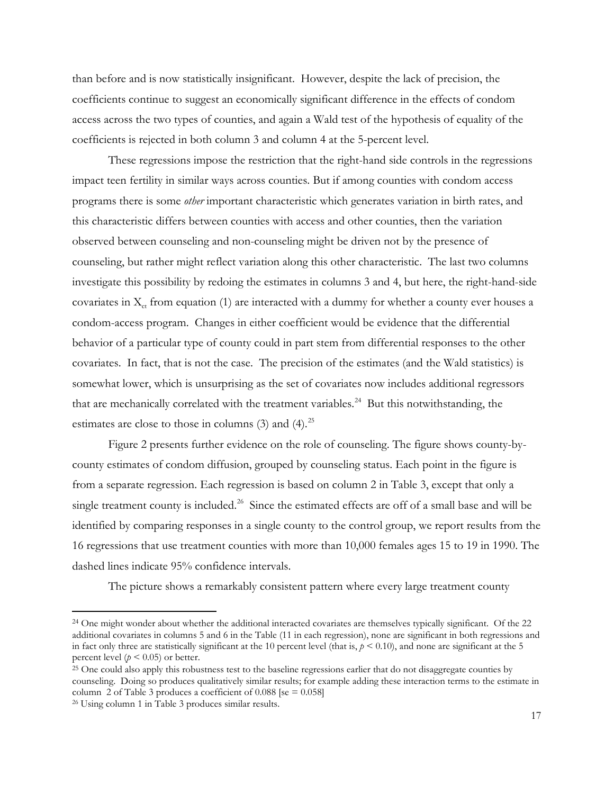than before and is now statistically insignificant. However, despite the lack of precision, the coefficients continue to suggest an economically significant difference in the effects of condom access across the two types of counties, and again a Wald test of the hypothesis of equality of the coefficients is rejected in both column 3 and column 4 at the 5-percent level.

These regressions impose the restriction that the right-hand side controls in the regressions impact teen fertility in similar ways across counties. But if among counties with condom access programs there is some *other* important characteristic which generates variation in birth rates, and this characteristic differs between counties with access and other counties, then the variation observed between counseling and non-counseling might be driven not by the presence of counseling, but rather might reflect variation along this other characteristic. The last two columns investigate this possibility by redoing the estimates in columns 3 and 4, but here, the right-hand-side covariates in  $X_{ct}$  from equation (1) are interacted with a dummy for whether a county ever houses a condom-access program. Changes in either coefficient would be evidence that the differential behavior of a particular type of county could in part stem from differential responses to the other covariates. In fact, that is not the case. The precision of the estimates (and the Wald statistics) is somewhat lower, which is unsurprising as the set of covariates now includes additional regressors that are mechanically correlated with the treatment variables.<sup>[24](#page-18-0)</sup> But this notwithstanding, the estimates are close to those in columns  $(3)$  and  $(4)$ .<sup>25</sup>

Figure 2 presents further evidence on the role of counseling. The figure shows county-bycounty estimates of condom diffusion, grouped by counseling status. Each point in the figure is from a separate regression. Each regression is based on column 2 in Table 3, except that only a single treatment county is included.<sup>[26](#page-18-2)</sup> Since the estimated effects are off of a small base and will be identified by comparing responses in a single county to the control group, we report results from the 16 regressions that use treatment counties with more than 10,000 females ages 15 to 19 in 1990. The dashed lines indicate 95% confidence intervals.

The picture shows a remarkably consistent pattern where every large treatment county

<span id="page-18-0"></span><sup>&</sup>lt;sup>24</sup> One might wonder about whether the additional interacted covariates are themselves typically significant. Of the 22 additional covariates in columns 5 and 6 in the Table (11 in each regression), none are significant in both regressions and in fact only three are statistically significant at the 10 percent level (that is,  $p < 0.10$ ), and none are significant at the 5 percent level ( $p < 0.05$ ) or better.

<span id="page-18-1"></span><sup>&</sup>lt;sup>25</sup> One could also apply this robustness test to the baseline regressions earlier that do not disaggregate counties by counseling. Doing so produces qualitatively similar results; for example adding these interaction terms to the estimate in column 2 of Table 3 produces a coefficient of  $0.088$  [se =  $0.058$ ]

<span id="page-18-2"></span><sup>26</sup> Using column 1 in Table 3 produces similar results.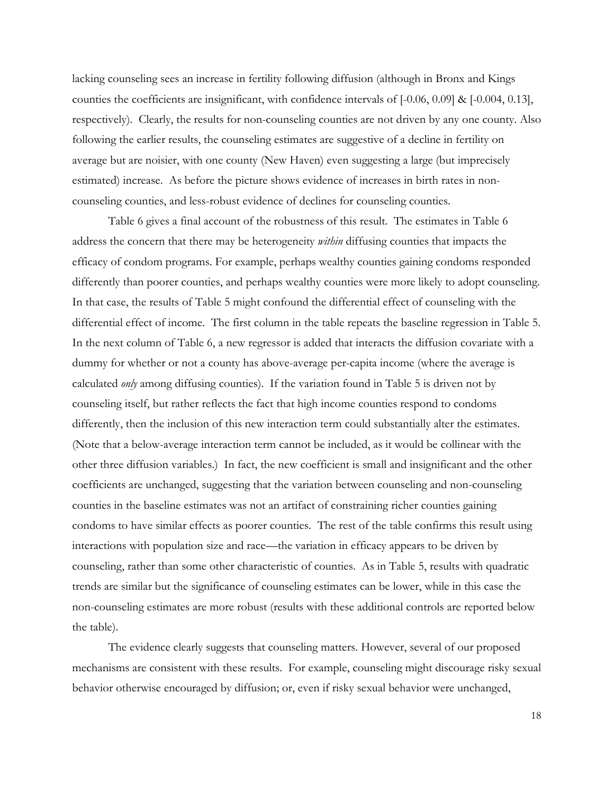lacking counseling sees an increase in fertility following diffusion (although in Bronx and Kings counties the coefficients are insignificant, with confidence intervals of [-0.06, 0.09] & [-0.004, 0.13], respectively). Clearly, the results for non-counseling counties are not driven by any one county. Also following the earlier results, the counseling estimates are suggestive of a decline in fertility on average but are noisier, with one county (New Haven) even suggesting a large (but imprecisely estimated) increase. As before the picture shows evidence of increases in birth rates in noncounseling counties, and less-robust evidence of declines for counseling counties.

 Table 6 gives a final account of the robustness of this result. The estimates in Table 6 address the concern that there may be heterogeneity *within* diffusing counties that impacts the efficacy of condom programs. For example, perhaps wealthy counties gaining condoms responded differently than poorer counties, and perhaps wealthy counties were more likely to adopt counseling. In that case, the results of Table 5 might confound the differential effect of counseling with the differential effect of income. The first column in the table repeats the baseline regression in Table 5. In the next column of Table 6, a new regressor is added that interacts the diffusion covariate with a dummy for whether or not a county has above-average per-capita income (where the average is calculated *only* among diffusing counties). If the variation found in Table 5 is driven not by counseling itself, but rather reflects the fact that high income counties respond to condoms differently, then the inclusion of this new interaction term could substantially alter the estimates. (Note that a below-average interaction term cannot be included, as it would be collinear with the other three diffusion variables.) In fact, the new coefficient is small and insignificant and the other coefficients are unchanged, suggesting that the variation between counseling and non-counseling counties in the baseline estimates was not an artifact of constraining richer counties gaining condoms to have similar effects as poorer counties. The rest of the table confirms this result using interactions with population size and race—the variation in efficacy appears to be driven by counseling, rather than some other characteristic of counties. As in Table 5, results with quadratic trends are similar but the significance of counseling estimates can be lower, while in this case the non-counseling estimates are more robust (results with these additional controls are reported below the table).

The evidence clearly suggests that counseling matters. However, several of our proposed mechanisms are consistent with these results. For example, counseling might discourage risky sexual behavior otherwise encouraged by diffusion; or, even if risky sexual behavior were unchanged,

18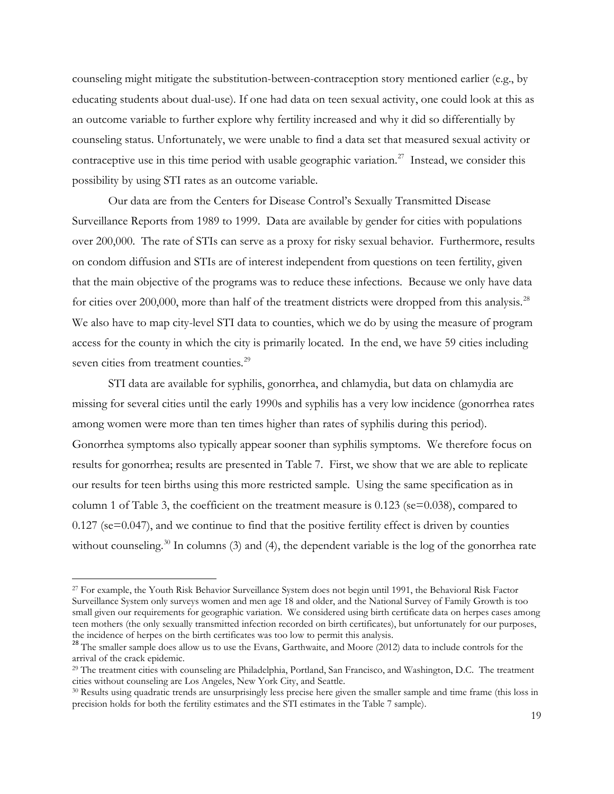counseling might mitigate the substitution-between-contraception story mentioned earlier (e.g., by educating students about dual-use). If one had data on teen sexual activity, one could look at this as an outcome variable to further explore why fertility increased and why it did so differentially by counseling status. Unfortunately, we were unable to find a data set that measured sexual activity or contraceptive use in this time period with usable geographic variation.<sup>[27](#page-20-0)</sup> Instead, we consider this possibility by using STI rates as an outcome variable.

Our data are from the Centers for Disease Control's Sexually Transmitted Disease Surveillance Reports from 1989 to 1999. Data are available by gender for cities with populations over 200,000. The rate of STIs can serve as a proxy for risky sexual behavior. Furthermore, results on condom diffusion and STIs are of interest independent from questions on teen fertility, given that the main objective of the programs was to reduce these infections. Because we only have data for cities over 200,000, more than half of the treatment districts were dropped from this analysis.<sup>[28](#page-20-1)</sup> We also have to map city-level STI data to counties, which we do by using the measure of program access for the county in which the city is primarily located. In the end, we have 59 cities including seven cities from treatment counties.<sup>29</sup>

STI data are available for syphilis, gonorrhea, and chlamydia, but data on chlamydia are missing for several cities until the early 1990s and syphilis has a very low incidence (gonorrhea rates among women were more than ten times higher than rates of syphilis during this period). Gonorrhea symptoms also typically appear sooner than syphilis symptoms. We therefore focus on results for gonorrhea; results are presented in Table 7. First, we show that we are able to replicate our results for teen births using this more restricted sample. Using the same specification as in column 1 of Table 3, the coefficient on the treatment measure is 0.123 (se=0.038), compared to 0.127 (se=0.047), and we continue to find that the positive fertility effect is driven by counties without counseling.<sup>30</sup> In columns (3) and (4), the dependent variable is the log of the gonorrhea rate

l

<span id="page-20-0"></span><sup>27</sup> For example, the Youth Risk Behavior Surveillance System does not begin until 1991, the Behavioral Risk Factor Surveillance System only surveys women and men age 18 and older, and the National Survey of Family Growth is too small given our requirements for geographic variation. We considered using birth certificate data on herpes cases among teen mothers (the only sexually transmitted infection recorded on birth certificates), but unfortunately for our purposes,

<span id="page-20-1"></span><sup>&</sup>lt;sup>28</sup> The smaller sample does allow us to use the Evans, Garthwaite, and Moore (2012) data to include controls for the arrival of the crack epidemic.

<span id="page-20-2"></span><sup>29</sup> The treatment cities with counseling are Philadelphia, Portland, San Francisco, and Washington, D.C. The treatment cities without counseling are Los Angeles, New York City, and Seattle.

<span id="page-20-3"></span><sup>30</sup> Results using quadratic trends are unsurprisingly less precise here given the smaller sample and time frame (this loss in precision holds for both the fertility estimates and the STI estimates in the Table 7 sample).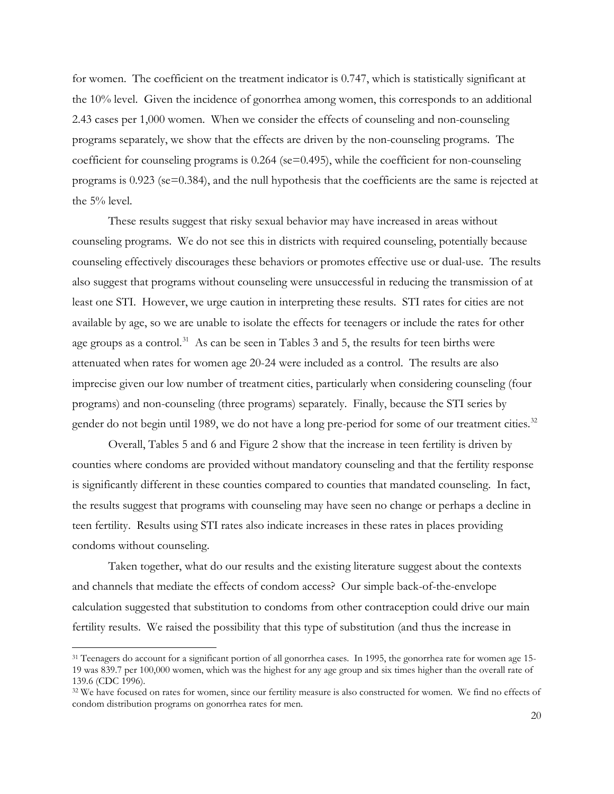for women. The coefficient on the treatment indicator is 0.747, which is statistically significant at the 10% level. Given the incidence of gonorrhea among women, this corresponds to an additional 2.43 cases per 1,000 women. When we consider the effects of counseling and non-counseling programs separately, we show that the effects are driven by the non-counseling programs. The coefficient for counseling programs is 0.264 (se=0.495), while the coefficient for non-counseling programs is 0.923 (se=0.384), and the null hypothesis that the coefficients are the same is rejected at the 5% level.

These results suggest that risky sexual behavior may have increased in areas without counseling programs. We do not see this in districts with required counseling, potentially because counseling effectively discourages these behaviors or promotes effective use or dual-use. The results also suggest that programs without counseling were unsuccessful in reducing the transmission of at least one STI. However, we urge caution in interpreting these results. STI rates for cities are not available by age, so we are unable to isolate the effects for teenagers or include the rates for other age groups as a control.<sup>31</sup> As can be seen in Tables 3 and 5, the results for teen births were attenuated when rates for women age 20-24 were included as a control. The results are also imprecise given our low number of treatment cities, particularly when considering counseling (four programs) and non-counseling (three programs) separately. Finally, because the STI series by gender do not begin until 1989, we do not have a long pre-period for some of our treatment cities.<sup>32</sup>

Overall, Tables 5 and 6 and Figure 2 show that the increase in teen fertility is driven by counties where condoms are provided without mandatory counseling and that the fertility response is significantly different in these counties compared to counties that mandated counseling. In fact, the results suggest that programs with counseling may have seen no change or perhaps a decline in teen fertility. Results using STI rates also indicate increases in these rates in places providing condoms without counseling.

Taken together, what do our results and the existing literature suggest about the contexts and channels that mediate the effects of condom access? Our simple back-of-the-envelope calculation suggested that substitution to condoms from other contraception could drive our main fertility results. We raised the possibility that this type of substitution (and thus the increase in

<span id="page-21-0"></span><sup>&</sup>lt;sup>31</sup> Teenagers do account for a significant portion of all gonorrhea cases. In 1995, the gonorrhea rate for women age 15-19 was 839.7 per 100,000 women, which was the highest for any age group and six times higher than the overall rate of 139.6 (CDC 1996).

<span id="page-21-1"></span><sup>&</sup>lt;sup>32</sup> We have focused on rates for women, since our fertility measure is also constructed for women. We find no effects of condom distribution programs on gonorrhea rates for men.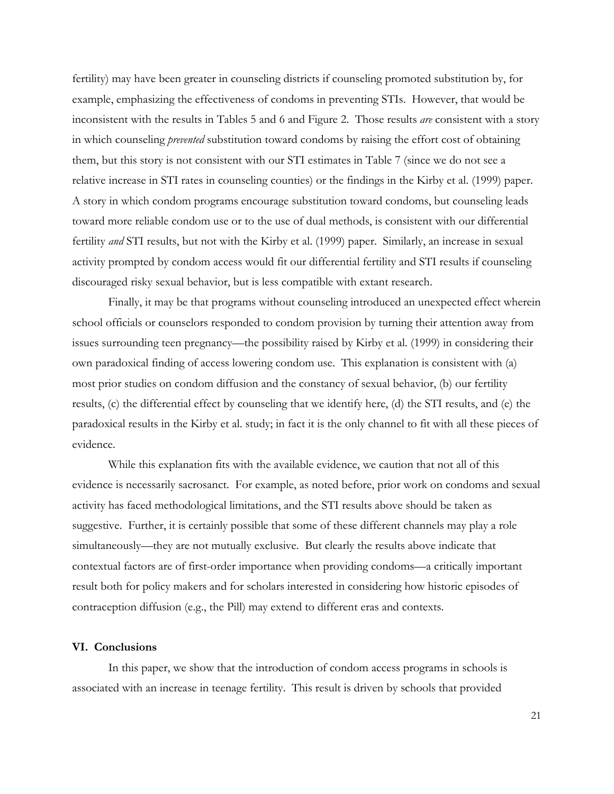fertility) may have been greater in counseling districts if counseling promoted substitution by, for example, emphasizing the effectiveness of condoms in preventing STIs. However, that would be inconsistent with the results in Tables 5 and 6 and Figure 2. Those results *are* consistent with a story in which counseling *prevented* substitution toward condoms by raising the effort cost of obtaining them, but this story is not consistent with our STI estimates in Table 7 (since we do not see a relative increase in STI rates in counseling counties) or the findings in the Kirby et al. (1999) paper. A story in which condom programs encourage substitution toward condoms, but counseling leads toward more reliable condom use or to the use of dual methods, is consistent with our differential fertility *and* STI results, but not with the Kirby et al. (1999) paper. Similarly, an increase in sexual activity prompted by condom access would fit our differential fertility and STI results if counseling discouraged risky sexual behavior, but is less compatible with extant research.

Finally, it may be that programs without counseling introduced an unexpected effect wherein school officials or counselors responded to condom provision by turning their attention away from issues surrounding teen pregnancy—the possibility raised by Kirby et al. (1999) in considering their own paradoxical finding of access lowering condom use. This explanation is consistent with (a) most prior studies on condom diffusion and the constancy of sexual behavior, (b) our fertility results, (c) the differential effect by counseling that we identify here, (d) the STI results, and (e) the paradoxical results in the Kirby et al. study; in fact it is the only channel to fit with all these pieces of evidence.

While this explanation fits with the available evidence, we caution that not all of this evidence is necessarily sacrosanct. For example, as noted before, prior work on condoms and sexual activity has faced methodological limitations, and the STI results above should be taken as suggestive. Further, it is certainly possible that some of these different channels may play a role simultaneously—they are not mutually exclusive. But clearly the results above indicate that contextual factors are of first-order importance when providing condoms—a critically important result both for policy makers and for scholars interested in considering how historic episodes of contraception diffusion (e.g., the Pill) may extend to different eras and contexts.

### **VI. Conclusions**

In this paper, we show that the introduction of condom access programs in schools is associated with an increase in teenage fertility. This result is driven by schools that provided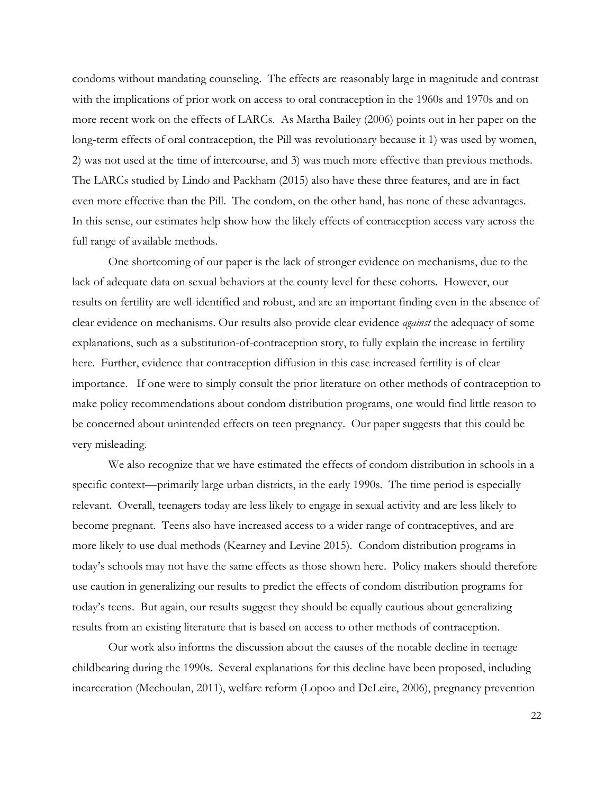condoms without mandating counseling. The effects are reasonably large in magnitude and contrast with the implications of prior work on access to oral contraception in the 1960s and 1970s and on more recent work on the effects of LARCs. As Martha Bailey (2006) points out in her paper on the long-term effects of oral contraception, the Pill was revolutionary because it 1) was used by women, 2) was not used at the time of intercourse, and 3) was much more effective than previous methods. The LARCs studied by Lindo and Packham (2015) also have these three features, and are in fact even more effective than the Pill. The condom, on the other hand, has none of these advantages. In this sense, our estimates help show how the likely effects of contraception access vary across the full range of available methods.

One shortcoming of our paper is the lack of stronger evidence on mechanisms, due to the lack of adequate data on sexual behaviors at the county level for these cohorts. However, our results on fertility are well-identified and robust, and are an important finding even in the absence of clear evidence on mechanisms. Our results also provide clear evidence *against* the adequacy of some explanations, such as a substitution-of-contraception story, to fully explain the increase in fertility here. Further, evidence that contraception diffusion in this case increased fertility is of clear importance. If one were to simply consult the prior literature on other methods of contraception to make policy recommendations about condom distribution programs, one would find little reason to be concerned about unintended effects on teen pregnancy. Our paper suggests that this could be very misleading.

We also recognize that we have estimated the effects of condom distribution in schools in a specific context—primarily large urban districts, in the early 1990s. The time period is especially relevant. Overall, teenagers today are less likely to engage in sexual activity and are less likely to become pregnant. Teens also have increased access to a wider range of contraceptives, and are more likely to use dual methods (Kearney and Levine 2015). Condom distribution programs in today's schools may not have the same effects as those shown here. Policy makers should therefore use caution in generalizing our results to predict the effects of condom distribution programs for today's teens. But again, our results suggest they should be equally cautious about generalizing results from an existing literature that is based on access to other methods of contraception.

Our work also informs the discussion about the causes of the notable decline in teenage childbearing during the 1990s. Several explanations for this decline have been proposed, including incarceration (Mechoulan, 2011), welfare reform (Lopoo and DeLeire, 2006), pregnancy prevention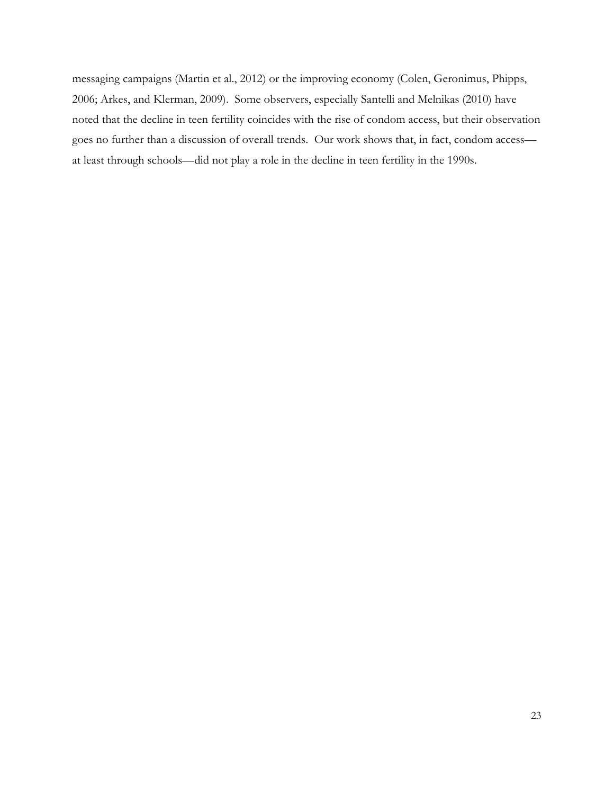messaging campaigns (Martin et al., 2012) or the improving economy (Colen, Geronimus, Phipps, 2006; Arkes, and Klerman, 2009). Some observers, especially Santelli and Melnikas (2010) have noted that the decline in teen fertility coincides with the rise of condom access, but their observation goes no further than a discussion of overall trends. Our work shows that, in fact, condom access at least through schools—did not play a role in the decline in teen fertility in the 1990s.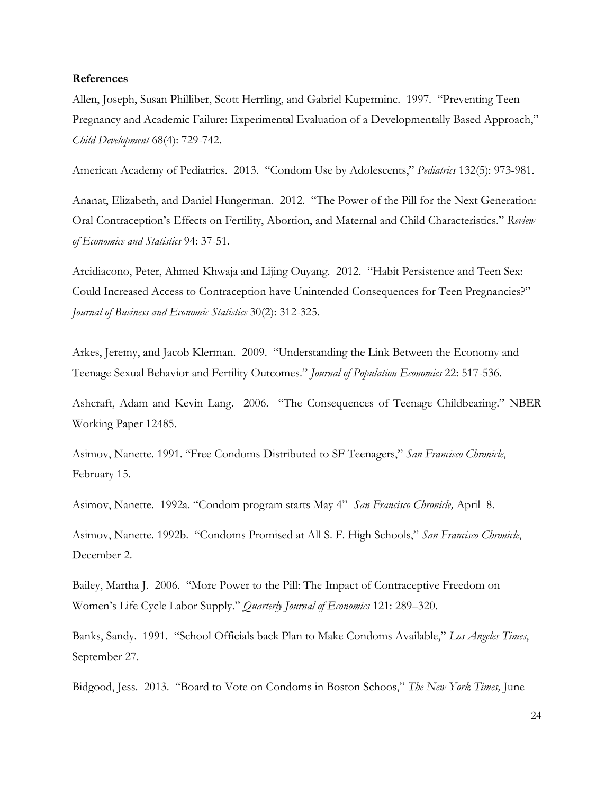### **References**

Allen, Joseph, Susan Philliber, Scott Herrling, and Gabriel Kuperminc. 1997. "Preventing Teen Pregnancy and Academic Failure: Experimental Evaluation of a Developmentally Based Approach," *Child Development* 68(4): 729-742.

American Academy of Pediatrics. 2013. "Condom Use by Adolescents," *Pediatrics* 132(5): 973-981.

Ananat, Elizabeth, and Daniel Hungerman. 2012. "The Power of the Pill for the Next Generation: Oral Contraception's Effects on Fertility, Abortion, and Maternal and Child Characteristics." *Review of Economics and Statistics* 94: 37-51.

Arcidiacono, Peter, Ahmed Khwaja and Lijing Ouyang. 2012. "Habit Persistence and Teen Sex: Could Increased Access to Contraception have Unintended Consequences for Teen Pregnancies?" *Journal of Business and Economic Statistics* 30(2): 312-325*.*

Arkes, Jeremy, and Jacob Klerman. 2009. "Understanding the Link Between the Economy and Teenage Sexual Behavior and Fertility Outcomes." *Journal of Population Economics* 22: 517-536.

Ashcraft, Adam and Kevin Lang. 2006. "The Consequences of Teenage Childbearing." NBER Working Paper 12485.

Asimov, Nanette. 1991. "Free Condoms Distributed to SF Teenagers," *San Francisco Chronicle*, February 15.

Asimov, Nanette. 1992a. "Condom program starts May 4" *San Francisco Chronicle,* April 8.

Asimov, Nanette. 1992b. "Condoms Promised at All S. F. High Schools," *San Francisco Chronicle*, December 2.

Bailey, Martha J. 2006. ''More Power to the Pill: The Impact of Contraceptive Freedom on Women's Life Cycle Labor Supply." *Quarterly Journal of Economics* 121: 289–320.

Banks, Sandy. 1991. "School Officials back Plan to Make Condoms Available," *Los Angeles Times*, September 27.

Bidgood, Jess. 2013. "Board to Vote on Condoms in Boston Schoos," *The New York Times,* June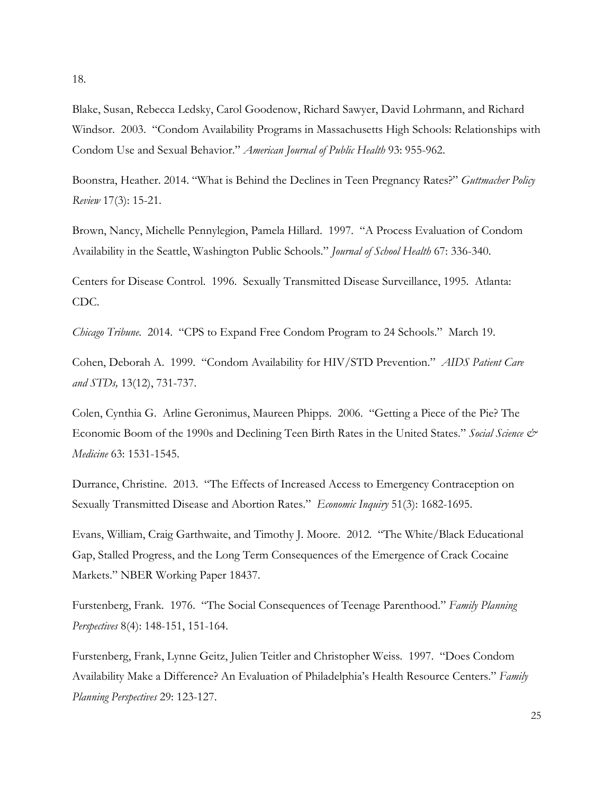Blake, Susan, Rebecca Ledsky, Carol Goodenow, Richard Sawyer, David Lohrmann, and Richard Windsor. 2003. "Condom Availability Programs in Massachusetts High Schools: Relationships with Condom Use and Sexual Behavior." *American Journal of Public Health* 93: 955-962.

Boonstra, Heather. 2014. "What is Behind the Declines in Teen Pregnancy Rates?" *Guttmacher Policy Review* 17(3): 15-21.

Brown, Nancy, Michelle Pennylegion, Pamela Hillard. 1997. "A Process Evaluation of Condom Availability in the Seattle, Washington Public Schools." *Journal of School Health* 67: 336-340.

Centers for Disease Control. 1996. Sexually Transmitted Disease Surveillance, 1995. Atlanta: CDC.

*Chicago Tribune.* 2014. "CPS to Expand Free Condom Program to 24 Schools." March 19.

Cohen, Deborah A. 1999. "Condom Availability for HIV/STD Prevention." *AIDS Patient Care and STDs,* 13(12), 731-737.

Colen, Cynthia G. Arline Geronimus, Maureen Phipps. 2006. "Getting a Piece of the Pie? The Economic Boom of the 1990s and Declining Teen Birth Rates in the United States." *Social Science & Medicine* 63: 1531-1545.

Durrance, Christine. 2013. "The Effects of Increased Access to Emergency Contraception on Sexually Transmitted Disease and Abortion Rates." *Economic Inquiry* 51(3): 1682-1695.

Evans, William, Craig Garthwaite, and Timothy J. Moore. 2012. "The White/Black Educational Gap, Stalled Progress, and the Long Term Consequences of the Emergence of Crack Cocaine Markets." NBER Working Paper 18437.

Furstenberg, Frank. 1976. "The Social Consequences of Teenage Parenthood." *Family Planning Perspectives* 8(4): 148-151, 151-164.

Furstenberg, Frank, Lynne Geitz, Julien Teitler and Christopher Weiss. 1997. "Does Condom Availability Make a Difference? An Evaluation of Philadelphia's Health Resource Centers." *Family Planning Perspectives* 29: 123-127.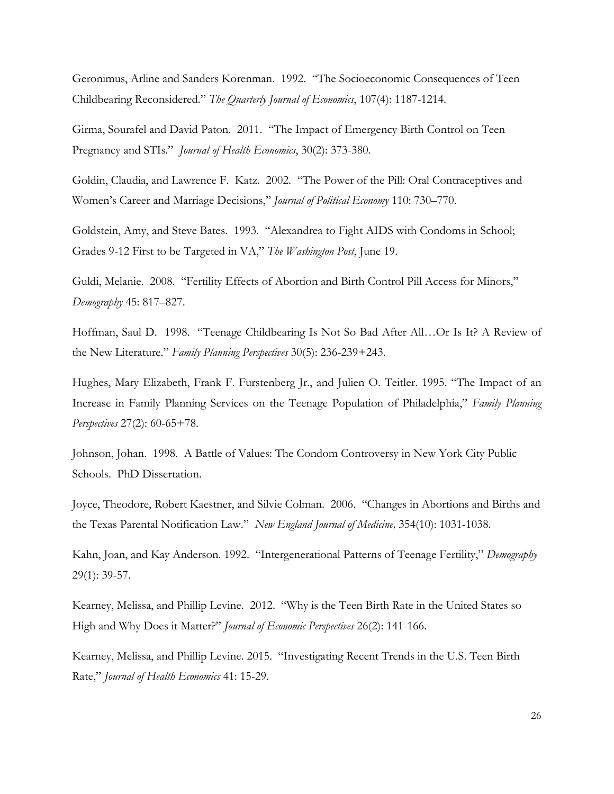Geronimus, Arline and Sanders Korenman. 1992. "The Socioeconomic Consequences of Teen Childbearing Reconsidered." *The Quarterly Journal of Economics*, 107(4): 1187-1214.

Girma, Sourafel and David Paton. 2011. "The Impact of Emergency Birth Control on Teen Pregnancy and STIs." *Journal of Health Economics*, 30(2): 373-380.

Goldin, Claudia, and Lawrence F. Katz. 2002. ''The Power of the Pill: Oral Contraceptives and Women's Career and Marriage Decisions,'' *Journal of Political Economy* 110: 730–770.

Goldstein, Amy, and Steve Bates. 1993. "Alexandrea to Fight AIDS with Condoms in School; Grades 9-12 First to be Targeted in VA," *The Washington Post*, June 19.

Guldi, Melanie. 2008. ''Fertility Effects of Abortion and Birth Control Pill Access for Minors,'' *Demography* 45: 817–827.

Hoffman, Saul D. 1998. "Teenage Childbearing Is Not So Bad After All…Or Is It? A Review of the New Literature." *Family Planning Perspectives* 30(5): 236-239+243.

Hughes, Mary Elizabeth, Frank F. Furstenberg Jr., and Julien O. Teitler. 1995. "The Impact of an Increase in Family Planning Services on the Teenage Population of Philadelphia," *Family Planning Perspectives* 27(2): 60-65+78.

Johnson, Johan. 1998. A Battle of Values: The Condom Controversy in New York City Public Schools. PhD Dissertation.

Joyce, Theodore, Robert Kaestner, and Silvie Colman. 2006. "Changes in Abortions and Births and the Texas Parental Notification Law." *New England Journal of Medicine,* 354(10): 1031-1038.

Kahn, Joan, and Kay Anderson. 1992. "Intergenerational Patterns of Teenage Fertility," *Demography* 29(1): 39-57.

Kearney, Melissa, and Phillip Levine. 2012. "Why is the Teen Birth Rate in the United States so High and Why Does it Matter?" *Journal of Economic Perspectives* 26(2): 141-166.

Kearney, Melissa, and Phillip Levine. 2015. "Investigating Recent Trends in the U.S. Teen Birth Rate," *Journal of Health Economics* 41: 15-29.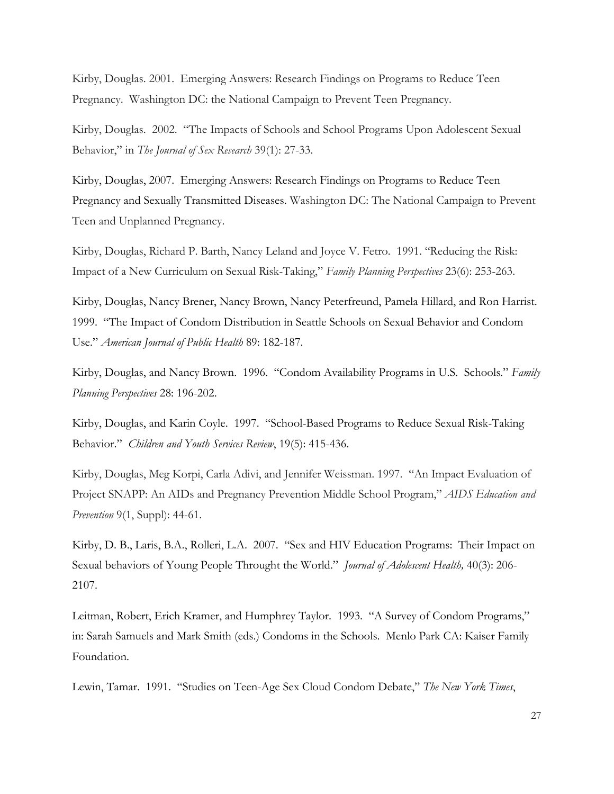Kirby, Douglas. 2001. Emerging Answers: Research Findings on Programs to Reduce Teen Pregnancy. Washington DC: the National Campaign to Prevent Teen Pregnancy.

Kirby, Douglas. 2002. "The Impacts of Schools and School Programs Upon Adolescent Sexual Behavior," in *The Journal of Sex Research* 39(1): 27-33.

Kirby, Douglas, 2007. Emerging Answers: Research Findings on Programs to Reduce Teen Pregnancy and Sexually Transmitted Diseases. Washington DC: The National Campaign to Prevent Teen and Unplanned Pregnancy.

Kirby, Douglas, Richard P. Barth, Nancy Leland and Joyce V. Fetro. 1991. "Reducing the Risk: Impact of a New Curriculum on Sexual Risk-Taking," *Family Planning Perspectives* 23(6): 253-263.

Kirby, Douglas, Nancy Brener, Nancy Brown, Nancy Peterfreund, Pamela Hillard, and Ron Harrist. 1999. "The Impact of Condom Distribution in Seattle Schools on Sexual Behavior and Condom Use." *American Journal of Public Health* 89: 182-187.

Kirby, Douglas, and Nancy Brown. 1996. "Condom Availability Programs in U.S. Schools." *Family Planning Perspectives* 28: 196-202.

Kirby, Douglas, and Karin Coyle. 1997. "School-Based Programs to Reduce Sexual Risk-Taking Behavior." *Children and Youth Services Review*, 19(5): 415-436.

Kirby, Douglas, Meg Korpi, Carla Adivi, and Jennifer Weissman. 1997. "An Impact Evaluation of Project SNAPP: An AIDs and Pregnancy Prevention Middle School Program," *AIDS Education and Prevention* 9(1, Suppl): 44-61.

Kirby, D. B., Laris, B.A., Rolleri, L.A. 2007. "Sex and HIV Education Programs: Their Impact on Sexual behaviors of Young People Throught the World." *Journal of Adolescent Health,* 40(3): 206- 2107.

Leitman, Robert, Erich Kramer, and Humphrey Taylor. 1993. "A Survey of Condom Programs," in: Sarah Samuels and Mark Smith (eds.) Condoms in the Schools. Menlo Park CA: Kaiser Family Foundation.

Lewin, Tamar. 1991. "Studies on Teen-Age Sex Cloud Condom Debate," *The New York Times*,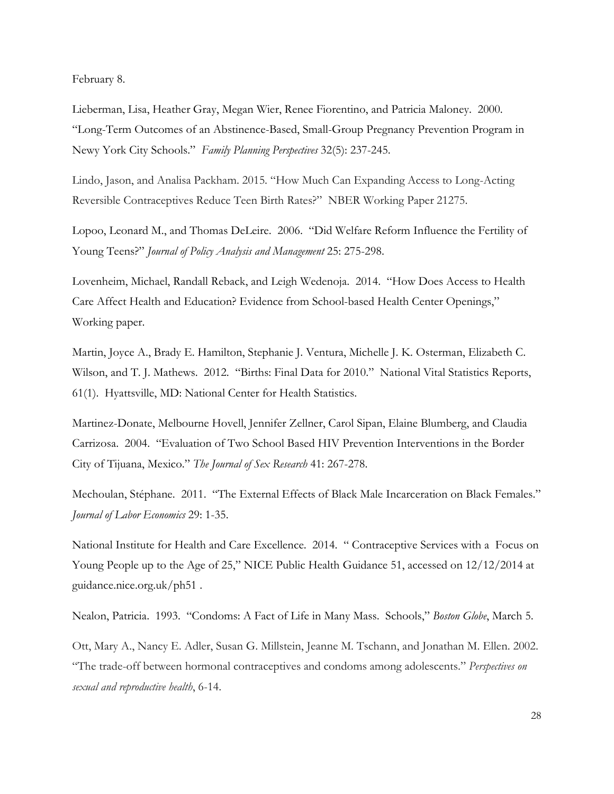February 8.

Lieberman, Lisa, Heather Gray, Megan Wier, Renee Fiorentino, and Patricia Maloney. 2000. "Long-Term Outcomes of an Abstinence-Based, Small-Group Pregnancy Prevention Program in Newy York City Schools." *Family Planning Perspectives* 32(5): 237-245.

Lindo, Jason, and Analisa Packham. 2015. "How Much Can Expanding Access to Long-Acting Reversible Contraceptives Reduce Teen Birth Rates?" NBER Working Paper 21275.

Lopoo, Leonard M., and Thomas DeLeire. 2006. "Did Welfare Reform Influence the Fertility of Young Teens?" *Journal of Policy Analysis and Management* 25: 275-298.

Lovenheim, Michael, Randall Reback, and Leigh Wedenoja. 2014. "How Does Access to Health Care Affect Health and Education? Evidence from School-based Health Center Openings," Working paper.

Martin, Joyce A., Brady E. Hamilton, Stephanie J. Ventura, Michelle J. K. Osterman, Elizabeth C. Wilson, and T. J. Mathews. 2012. "Births: Final Data for 2010." National Vital Statistics Reports, 61(1). Hyattsville, MD: National Center for Health Statistics.

Martinez-Donate, Melbourne Hovell, Jennifer Zellner, Carol Sipan, Elaine Blumberg, and Claudia Carrizosa. 2004. "Evaluation of Two School Based HIV Prevention Interventions in the Border City of Tijuana, Mexico." *The Journal of Sex Research* 41: 267-278.

Mechoulan, Stéphane. 2011. "The External Effects of Black Male Incarceration on Black Females." *Journal of Labor Economics* 29: 1-35.

National Institute for Health and Care Excellence. 2014. " Contraceptive Services with a Focus on Young People up to the Age of 25," NICE Public Health Guidance 51, accessed on 12/12/2014 at guidance.nice.org.uk/ph51 .

Nealon, Patricia. 1993. "Condoms: A Fact of Life in Many Mass. Schools," *Boston Globe*, March 5.

Ott, Mary A., Nancy E. Adler, Susan G. Millstein, Jeanne M. Tschann, and Jonathan M. Ellen. 2002. "The trade-off between hormonal contraceptives and condoms among adolescents." *Perspectives on sexual and reproductive health*, 6-14.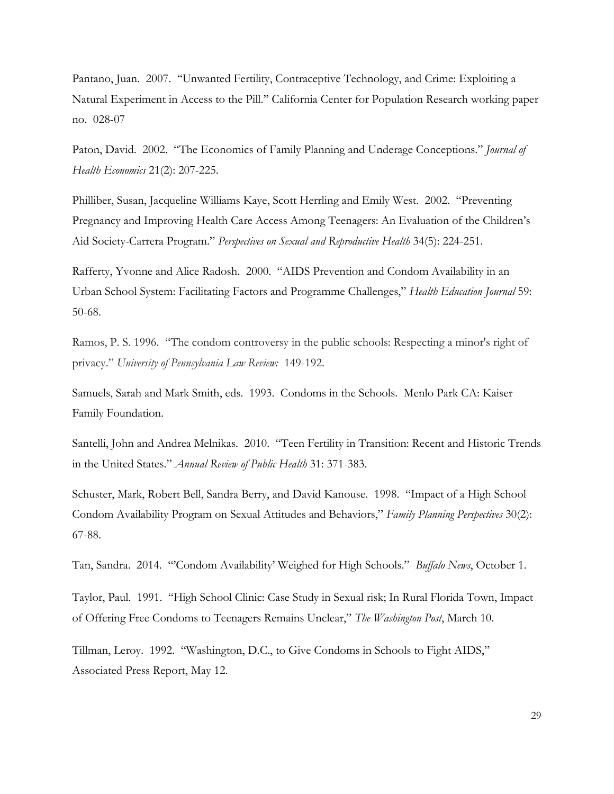Pantano, Juan. 2007. ''Unwanted Fertility, Contraceptive Technology, and Crime: Exploiting a Natural Experiment in Access to the Pill.'' California Center for Population Research working paper no. 028-07

Paton, David. 2002. "The Economics of Family Planning and Underage Conceptions." *Journal of Health Economics* 21(2): 207-225.

Philliber, Susan, Jacqueline Williams Kaye, Scott Herrling and Emily West. 2002. "Preventing Pregnancy and Improving Health Care Access Among Teenagers: An Evaluation of the Children's Aid Society-Carrera Program." *Perspectives on Sexual and Reproductive Health* 34(5): 224-251.

Rafferty, Yvonne and Alice Radosh. 2000. "AIDS Prevention and Condom Availability in an Urban School System: Facilitating Factors and Programme Challenges," *Health Education Journal* 59: 50-68.

Ramos, P. S. 1996. "The condom controversy in the public schools: Respecting a minor's right of privacy." *University of Pennsylvania Law Review:* 149-192.

Samuels, Sarah and Mark Smith, eds. 1993. Condoms in the Schools. Menlo Park CA: Kaiser Family Foundation.

Santelli, John and Andrea Melnikas. 2010. "Teen Fertility in Transition: Recent and Historic Trends in the United States." *Annual Review of Public Health* 31: 371-383.

Schuster, Mark, Robert Bell, Sandra Berry, and David Kanouse. 1998. "Impact of a High School Condom Availability Program on Sexual Attitudes and Behaviors," *Family Planning Perspectives* 30(2): 67-88.

Tan, Sandra. 2014. "'Condom Availability' Weighed for High Schools." *Buffalo News*, October 1.

Taylor, Paul. 1991. "High School Clinic: Case Study in Sexual risk; In Rural Florida Town, Impact of Offering Free Condoms to Teenagers Remains Unclear," *The Washington Post*, March 10.

Tillman, Leroy. 1992. "Washington, D.C., to Give Condoms in Schools to Fight AIDS," Associated Press Report, May 12.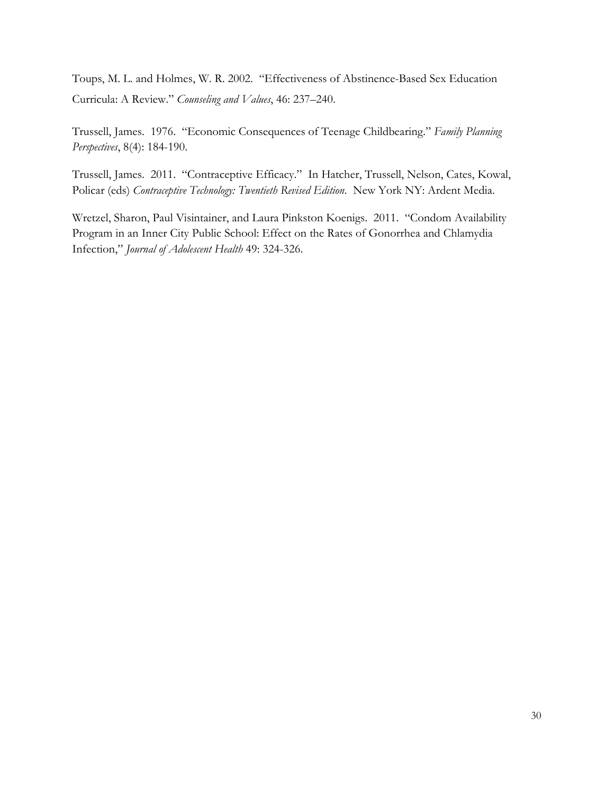Toups, M. L. and Holmes, W. R. 2002. "Effectiveness of Abstinence-Based Sex Education Curricula: A Review." *Counseling and Values*, 46: 237–240.

Trussell, James. 1976. "Economic Consequences of Teenage Childbearing." *Family Planning Perspectives*, 8(4): 184-190.

Trussell, James. 2011. "Contraceptive Efficacy." In Hatcher, Trussell, Nelson, Cates, Kowal, Policar (eds) *Contraceptive Technology: Twentieth Revised Edition*. New York NY: Ardent Media.

Wretzel, Sharon, Paul Visintainer, and Laura Pinkston Koenigs. 2011. "Condom Availability Program in an Inner City Public School: Effect on the Rates of Gonorrhea and Chlamydia Infection," *Journal of Adolescent Health* 49: 324-326.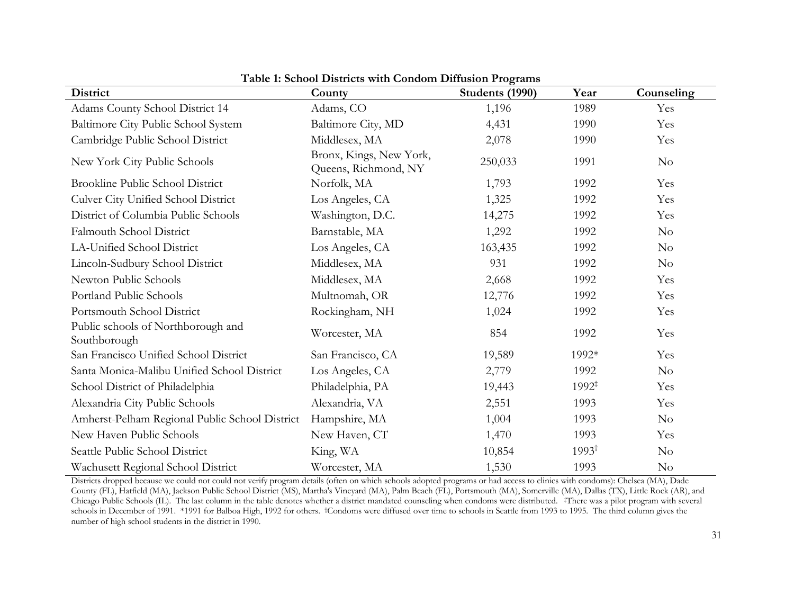| District                                           | County                                          | Students (1990) | Year              | Counseling |
|----------------------------------------------------|-------------------------------------------------|-----------------|-------------------|------------|
| Adams County School District 14                    | Adams, CO                                       | 1,196           | 1989              | Yes        |
| Baltimore City Public School System                | Baltimore City, MD                              | 4,431           | 1990              | Yes        |
| Cambridge Public School District                   | Middlesex, MA                                   | 2,078           | 1990              | Yes        |
| New York City Public Schools                       | Bronx, Kings, New York,<br>Queens, Richmond, NY | 250,033         | 1991              | $\rm No$   |
| <b>Brookline Public School District</b>            | Norfolk, MA                                     | 1,793           | 1992              | Yes        |
| Culver City Unified School District                | Los Angeles, CA                                 | 1,325           | 1992              | Yes        |
| District of Columbia Public Schools                | Washington, D.C.                                | 14,275          | 1992              | Yes        |
| Falmouth School District                           | Barnstable, MA                                  | 1,292           | 1992              | No         |
| LA-Unified School District                         | Los Angeles, CA                                 | 163,435         | 1992              | No         |
| Lincoln-Sudbury School District                    | Middlesex, MA                                   | 931             | 1992              | No         |
| Newton Public Schools                              | Middlesex, MA                                   | 2,668           | 1992              | Yes        |
| Portland Public Schools                            | Multnomah, OR                                   | 12,776          | 1992              | Yes        |
| Portsmouth School District                         | Rockingham, NH                                  | 1,024           | 1992              | Yes        |
| Public schools of Northborough and<br>Southborough | Worcester, MA                                   | 854             | 1992              | Yes        |
| San Francisco Unified School District              | San Francisco, CA                               | 19,589          | 1992*             | Yes        |
| Santa Monica-Malibu Unified School District        | Los Angeles, CA                                 | 2,779           | 1992              | $\rm No$   |
| School District of Philadelphia                    | Philadelphia, PA                                | 19,443          | $1992^{\ddagger}$ | Yes        |
| Alexandria City Public Schools                     | Alexandria, VA                                  | 2,551           | 1993              | Yes        |
| Amherst-Pelham Regional Public School District     | Hampshire, MA                                   | 1,004           | 1993              | No         |
| New Haven Public Schools                           | New Haven, CT                                   | 1,470           | 1993              | Yes        |
| Seattle Public School District                     | King, WA                                        | 10,854          | $1993^{\dagger}$  | $\rm No$   |
| Wachusett Regional School District                 | Worcester, MA                                   | 1,530           | 1993              | $\rm No$   |

**Table 1: School Districts with Condom Diffusion Programs**

Districts dropped because we could not could not verify program details (often on which schools adopted programs or had access to clinics with condoms): Chelsea (MA), Dade County (FL), Hatfield (MA), Jackson Public School District (MS), Martha's Vineyard (MA), Palm Beach (FL), Portsmouth (MA), Somerville (MA), Dallas (TX), Little Rock (AR), and Chicago Public Schools (IL). The last column in the table denotes whether a district mandated counseling when condoms were distributed. ‡There was a pilot program with several schools in December of 1991. \*1991 for Balboa High, 1992 for others. †Condoms were diffused over time to schools in Seattle from 1993 to 1995. The third column gives the number of high school students in the district in 1990.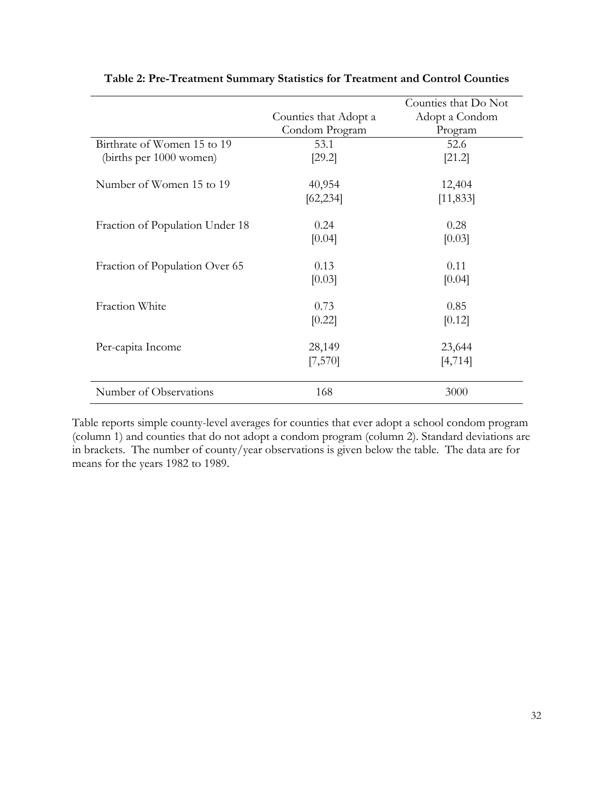|                                 |                       | Counties that Do Not |
|---------------------------------|-----------------------|----------------------|
|                                 | Counties that Adopt a | Adopt a Condom       |
|                                 | Condom Program        | Program              |
| Birthrate of Women 15 to 19     | 53.1                  | 52.6                 |
| (births per 1000 women)         | [29.2]                | [21.2]               |
| Number of Women 15 to 19        | 40,954                | 12,404               |
|                                 | [62, 234]             | [11, 833]            |
| Fraction of Population Under 18 | 0.24                  | 0.28                 |
|                                 | [0.04]                | [0.03]               |
| Fraction of Population Over 65  | 0.13                  | 0.11                 |
|                                 | [0.03]                | [0.04]               |
| Fraction White                  | 0.73                  | 0.85                 |
|                                 | [0.22]                | [0.12]               |
| Per-capita Income               | 28,149                | 23,644               |
|                                 | [7,570]               | [4, 714]             |
| Number of Observations          | 168                   | 3000                 |

# **Table 2: Pre-Treatment Summary Statistics for Treatment and Control Counties**

Table reports simple county-level averages for counties that ever adopt a school condom program (column 1) and counties that do not adopt a condom program (column 2). Standard deviations are in brackets. The number of county/year observations is given below the table. The data are for means for the years 1982 to 1989.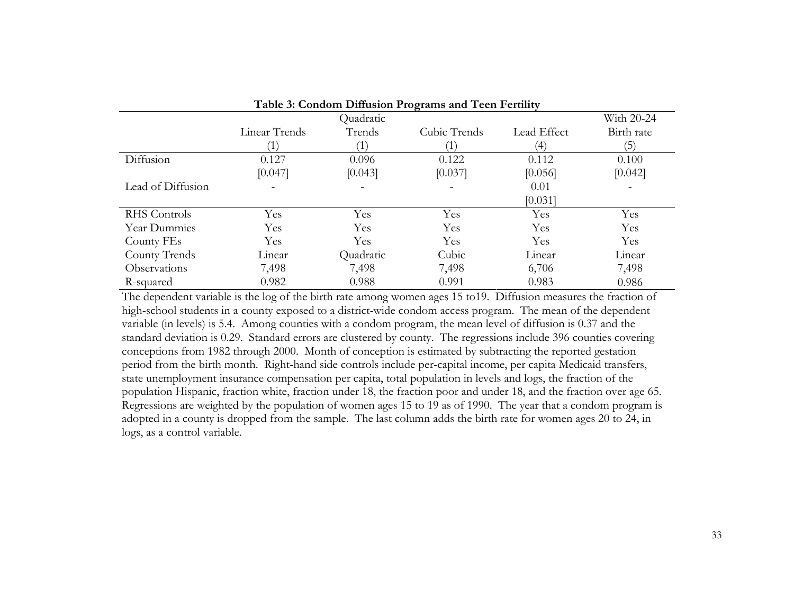| Table 5: Condom Diffusion Programs and Teen Ferulity |               |           |              |             |            |  |
|------------------------------------------------------|---------------|-----------|--------------|-------------|------------|--|
|                                                      |               | Quadratic |              |             | With 20-24 |  |
|                                                      | Linear Trends | Trends    | Cubic Trends | Lead Effect | Birth rate |  |
|                                                      |               |           |              | (4)         | (5)        |  |
| Diffusion                                            | 0.127         | 0.096     | 0.122        | 0.112       | 0.100      |  |
|                                                      | [0.047]       | [0.043]   | [0.037]      | [0.056]     | [0.042]    |  |
| Lead of Diffusion                                    |               |           |              | 0.01        |            |  |
|                                                      |               |           |              | [0.031]     |            |  |
| <b>RHS</b> Controls                                  | Yes           | Yes       | Yes          | Yes         | Yes        |  |
| Year Dummies                                         | Yes           | Yes       | Yes          | Yes         | Yes        |  |
| County FEs                                           | Yes           | Yes       | Yes          | Yes         | Yes        |  |
| County Trends                                        | Linear        | Quadratic | Cubic        | Linear      | Linear     |  |
| Observations                                         | 7,498         | 7,498     | 7,498        | 6,706       | 7,498      |  |
| R-squared                                            | 0.982         | 0.988     | 0.991        | 0.983       | 0.986      |  |

The dependent variable is the log of the birth rate among women ages 15 to19. Diffusion measures the fraction of high-school students in a county exposed to a district-wide condom access program. The mean of the dependent variable (in levels) is 5.4. Among counties with a condom program, the mean level of diffusion is 0.37 and the standard deviation is 0.29. Standard errors are clustered by county. The regressions include 396 counties covering conceptions from 1982 through 2000. Month of conception is estimated by subtracting the reported gestation period from the birth month. Right-hand side controls include per-capital income, per capita Medicaid transfers, state unemployment insurance compensation per capita, total population in levels and logs, the fraction of the population Hispanic, fraction white, fraction under 18, the fraction poor and under 18, and the fraction over age 65. Regressions are weighted by the population of women ages 15 to 19 as of 1990. The year that a condom program is adopted in a county is dropped from the sample. The last column adds the birth rate for women ages 20 to 24, in logs, as a control variable.

**Table 3: Condom Diffusion Programs and Teen Fertility**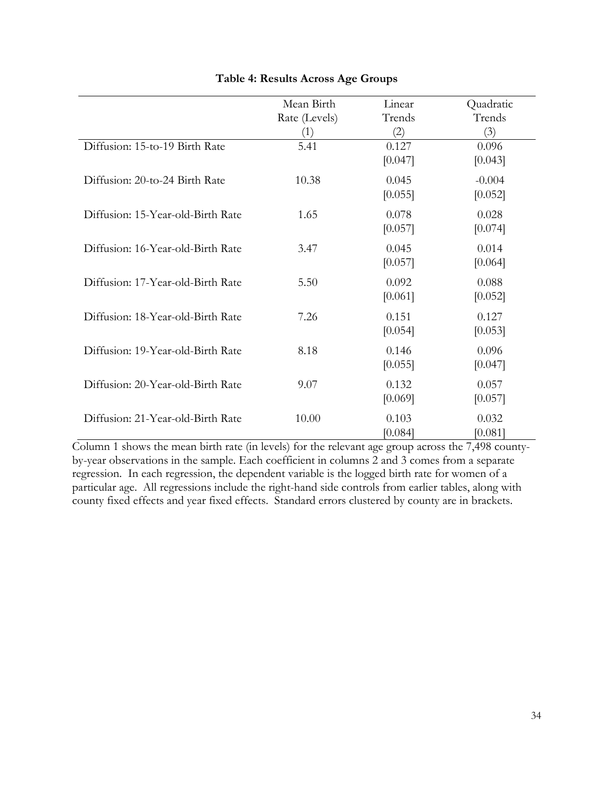|                                   | Mean Birth           | Linear           | Quadratic           |
|-----------------------------------|----------------------|------------------|---------------------|
|                                   | Rate (Levels)<br>(1) | Trends<br>(2)    | Trends<br>(3)       |
| Diffusion: 15-to-19 Birth Rate    | 5.41                 | 0.127<br>[0.047] | 0.096<br>[0.043]    |
| Diffusion: 20-to-24 Birth Rate    | 10.38                | 0.045<br>[0.055] | $-0.004$<br>[0.052] |
| Diffusion: 15-Year-old-Birth Rate | 1.65                 | 0.078<br>[0.057] | 0.028<br>[0.074]    |
| Diffusion: 16-Year-old-Birth Rate | 3.47                 | 0.045<br>[0.057] | 0.014<br>[0.064]    |
| Diffusion: 17-Year-old-Birth Rate | 5.50                 | 0.092<br>[0.061] | 0.088<br>[0.052]    |
| Diffusion: 18-Year-old-Birth Rate | 7.26                 | 0.151<br>[0.054] | 0.127<br>[0.053]    |
| Diffusion: 19-Year-old-Birth Rate | 8.18                 | 0.146<br>[0.055] | 0.096<br>[0.047]    |
| Diffusion: 20-Year-old-Birth Rate | 9.07                 | 0.132<br>[0.069] | 0.057<br>[0.057]    |
| Diffusion: 21-Year-old-Birth Rate | 10.00                | 0.103<br>[0.084] | 0.032<br>[0.081]    |

# **Table 4: Results Across Age Groups**

Column 1 shows the mean birth rate (in levels) for the relevant age group across the 7,498 countyby-year observations in the sample. Each coefficient in columns 2 and 3 comes from a separate regression. In each regression, the dependent variable is the logged birth rate for women of a particular age. All regressions include the right-hand side controls from earlier tables, along with county fixed effects and year fixed effects. Standard errors clustered by county are in brackets.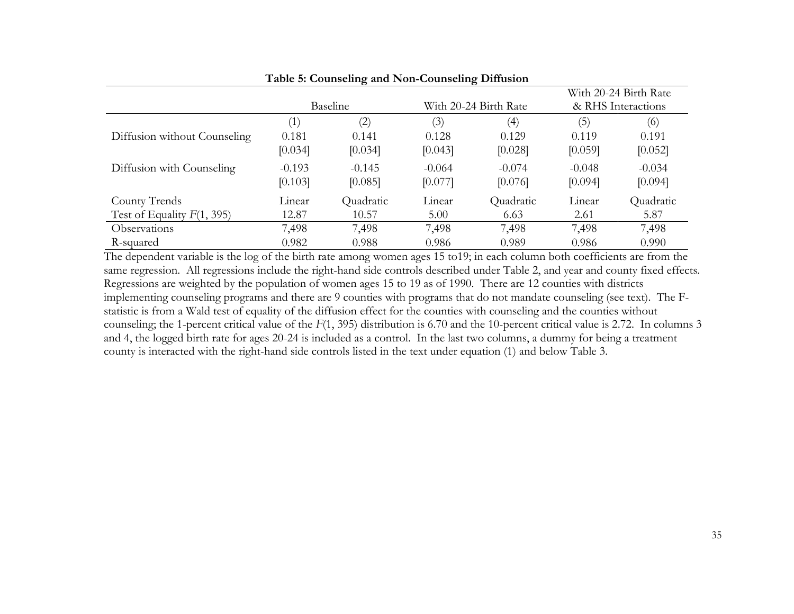|                              |          | Twore of Counseling and From Counseling Dimaston |                       |           |                    |                       |
|------------------------------|----------|--------------------------------------------------|-----------------------|-----------|--------------------|-----------------------|
|                              |          |                                                  |                       |           |                    | With 20-24 Birth Rate |
|                              |          | Baseline                                         | With 20-24 Birth Rate |           | & RHS Interactions |                       |
|                              | (1)      | $\left( 2\right)$                                | (3)                   | (4)       | (5)                | (6)                   |
| Diffusion without Counseling | 0.181    | 0.141                                            | 0.128                 | 0.129     | 0.119              | 0.191                 |
|                              | [0.034]  | [0.034]                                          | [0.043]               | [0.028]   | [0.059]            | [0.052]               |
| Diffusion with Counseling    | $-0.193$ | $-0.145$                                         | $-0.064$              | $-0.074$  | $-0.048$           | $-0.034$              |
|                              | [0.103]  | [0.085]                                          | [0.077]               | [0.076]   | [0.094]            | [0.094]               |
| County Trends                | Linear   | Quadratic                                        | Linear                | Quadratic | Linear             | Quadratic             |
| Test of Equality $F(1, 395)$ | 12.87    | 10.57                                            | 5.00                  | 6.63      | 2.61               | 5.87                  |
| <i><b>Observations</b></i>   | 7,498    | 7,498                                            | 7,498                 | 7,498     | 7,498              | 7,498                 |
| R-squared                    | 0.982    | 0.988                                            | 0.986                 | 0.989     | 0.986              | 0.990                 |

The dependent variable is the log of the birth rate among women ages 15 to19; in each column both coefficients are from the same regression. All regressions include the right-hand side controls described under Table 2, and year and county fixed effects. Regressions are weighted by the population of women ages 15 to 19 as of 1990. There are 12 counties with districts implementing counseling programs and there are 9 counties with programs that do not mandate counseling (see text). The Fstatistic is from a Wald test of equality of the diffusion effect for the counties with counseling and the counties without counseling; the 1-percent critical value of the *F*(1, 395) distribution is 6.70 and the 10-percent critical value is 2.72. In columns 3 and 4, the logged birth rate for ages 20-24 is included as a control. In the last two columns, a dummy for being a treatment county is interacted with the right-hand side controls listed in the text under equation (1) and below Table 3.

# **Table 5: Counseling and Non-Counseling Diffusion**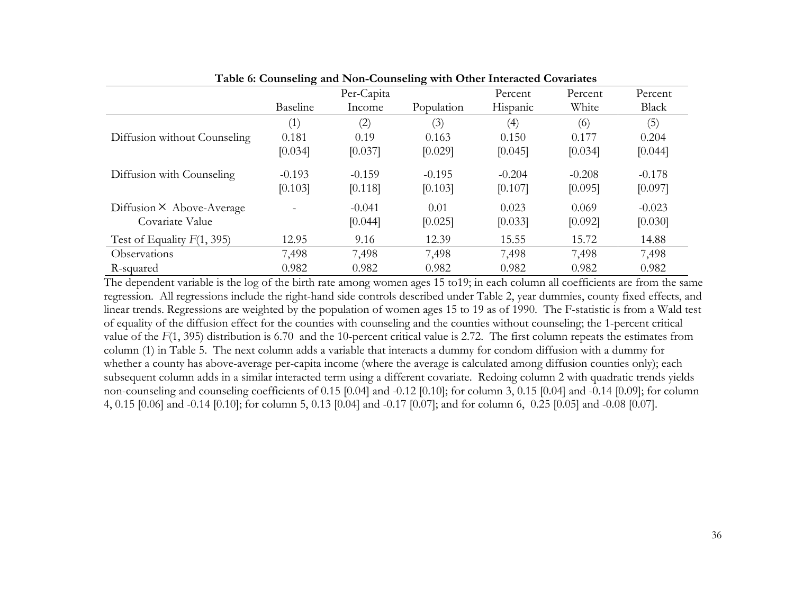|                                                     | $\mathbf{\sigma}$<br>Baseline | Per-Capita<br>Income | $\mathbf{\sigma}$<br>Population | Percent<br>Hispanic | Percent<br>White    | Percent<br>Black    |
|-----------------------------------------------------|-------------------------------|----------------------|---------------------------------|---------------------|---------------------|---------------------|
|                                                     | (1)                           | (2)                  | (3)                             | (4)                 | (6)                 | (5)                 |
| Diffusion without Counseling                        | 0.181                         | 0.19                 | 0.163                           | 0.150               | 0.177               | 0.204               |
|                                                     | [0.034]                       | [0.037]              | [0.029]                         | [0.045]             | [0.034]             | [0.044]             |
| Diffusion with Counseling                           | $-0.193$<br>[0.103]           | $-0.159$<br>[0.118]  | $-0.195$<br>[0.103]             | $-0.204$<br>[0.107] | $-0.208$<br>[0.095] | $-0.178$<br>[0.097] |
| Diffusion $\times$ Above-Average<br>Covariate Value |                               | $-0.041$<br>[0.044]  | 0.01<br>[0.025]                 | 0.023<br>[0.033]    | 0.069<br>[0.092]    | $-0.023$<br>[0.030] |
| Test of Equality $F(1, 395)$                        | 12.95                         | 9.16                 | 12.39                           | 15.55               | 15.72               | 14.88               |
| Observations                                        | 7,498                         | 7,498                | 7,498                           | 7,498               | 7,498               | 7,498               |
| R-squared                                           | 0.982                         | 0.982                | 0.982                           | 0.982               | 0.982               | 0.982               |

**Table 6: Counseling and Non-Counseling with Other Interacted Covariates**

The dependent variable is the log of the birth rate among women ages 15 to19; in each column all coefficients are from the same regression. All regressions include the right-hand side controls described under Table 2, year dummies, county fixed effects, and linear trends. Regressions are weighted by the population of women ages 15 to 19 as of 1990. The F-statistic is from a Wald test of equality of the diffusion effect for the counties with counseling and the counties without counseling; the 1-percent critical value of the *F*(1, 395) distribution is 6.70 and the 10-percent critical value is 2.72. The first column repeats the estimates from column (1) in Table 5. The next column adds a variable that interacts a dummy for condom diffusion with a dummy for whether a county has above-average per-capita income (where the average is calculated among diffusion counties only); each subsequent column adds in a similar interacted term using a different covariate. Redoing column 2 with quadratic trends yields non-counseling and counseling coefficients of 0.15 [0.04] and -0.12 [0.10]; for column 3, 0.15 [0.04] and -0.14 [0.09]; for column 4, 0.15 [0.06] and -0.14 [0.10]; for column 5, 0.13 [0.04] and -0.17 [0.07]; and for column 6, 0.25 [0.05] and -0.08 [0.07].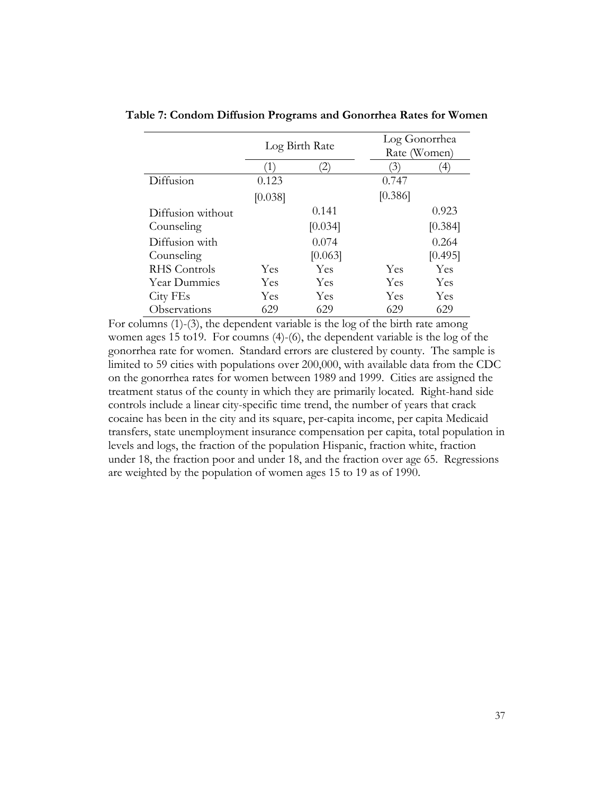|                   |                |         |         | Log Gonorrhea  |  |  |
|-------------------|----------------|---------|---------|----------------|--|--|
|                   | Log Birth Rate |         |         | Rate (Women)   |  |  |
|                   |                | 2)      | 3)      | $\overline{4}$ |  |  |
| Diffusion         | 0.123          |         | 0.747   |                |  |  |
|                   | [0.038]        |         | [0.386] |                |  |  |
| Diffusion without |                | 0.141   |         | 0.923          |  |  |
| Counseling        |                | [0.034] |         | [0.384]        |  |  |
| Diffusion with    |                | 0.074   |         | 0.264          |  |  |
| Counseling        |                | [0.063] |         | [0.495]        |  |  |
| RHS Controls      | Yes            | Yes     | Yes     | Yes            |  |  |
| Year Dummies      | Yes            | Yes     | Yes     | Yes            |  |  |
| City FEs          | Yes            | Yes     | Yes     | Yes            |  |  |
| Observations      | 629            | 629     | 629     | 629            |  |  |

**Table 7: Condom Diffusion Programs and Gonorrhea Rates for Women**

For columns (1)-(3), the dependent variable is the log of the birth rate among women ages 15 to19. For coumns (4)-(6), the dependent variable is the log of the gonorrhea rate for women. Standard errors are clustered by county. The sample is limited to 59 cities with populations over 200,000, with available data from the CDC on the gonorrhea rates for women between 1989 and 1999. Cities are assigned the treatment status of the county in which they are primarily located. Right-hand side controls include a linear city-specific time trend, the number of years that crack cocaine has been in the city and its square, per-capita income, per capita Medicaid transfers, state unemployment insurance compensation per capita, total population in levels and logs, the fraction of the population Hispanic, fraction white, fraction under 18, the fraction poor and under 18, and the fraction over age 65. Regressions are weighted by the population of women ages 15 to 19 as of 1990.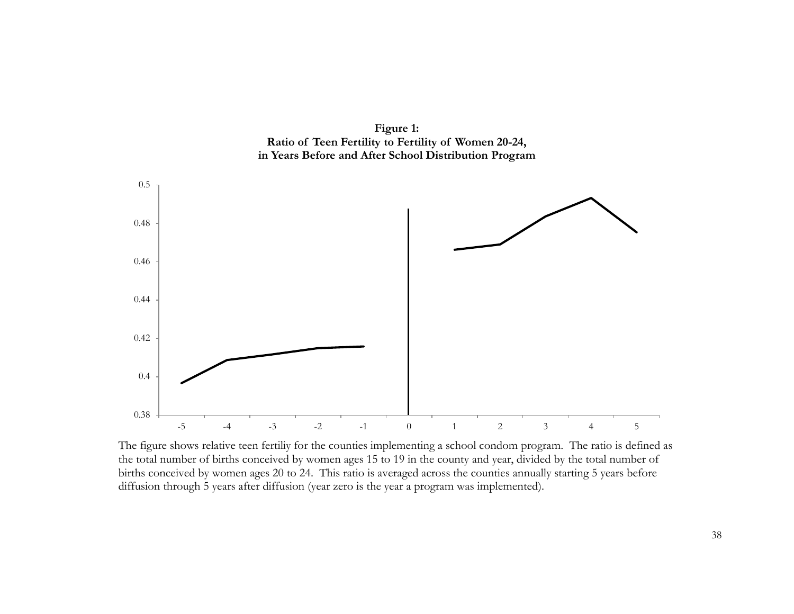**Figure 1: Ratio of Teen Fertility to Fertility of Women 20-24, in Years Before and After School Distribution Program**



The figure shows relative teen fertiliy for the counties implementing a school condom program. The ratio is defined as the total number of births conceived by women ages 15 to 19 in the county and year, divided by the total number of births conceived by women ages 20 to 24. This ratio is averaged across the counties annually starting 5 years before diffusion through 5 years after diffusion (year zero is the year a program was implemented).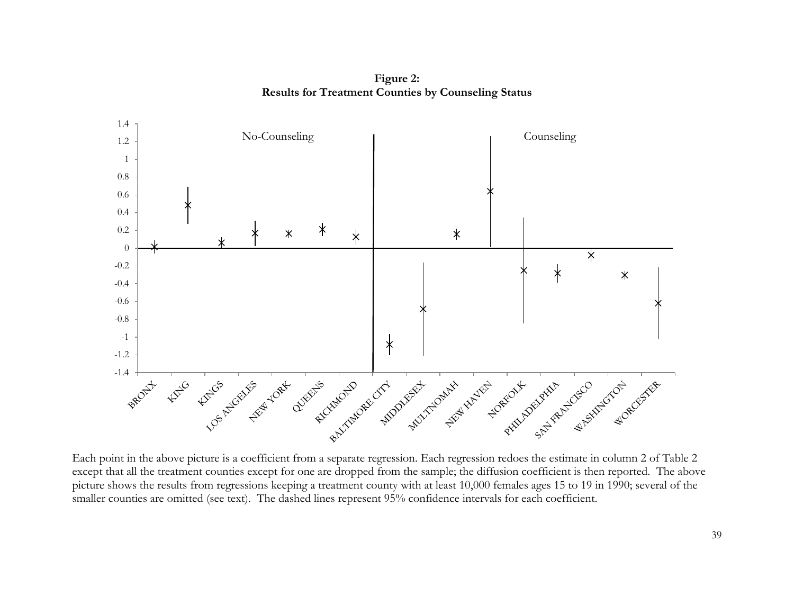**Figure 2: Results for Treatment Counties by Counseling Status**



Each point in the above picture is a coefficient from a separate regression. Each regression redoes the estimate in column 2 of Table 2 except that all the treatment counties except for one are dropped from the sample; the diffusion coefficient is then reported. The above picture shows the results from regressions keeping a treatment county with at least 10,000 females ages 15 to 19 in 1990; several of the smaller counties are omitted (see text). The dashed lines represent 95% confidence intervals for each coefficient.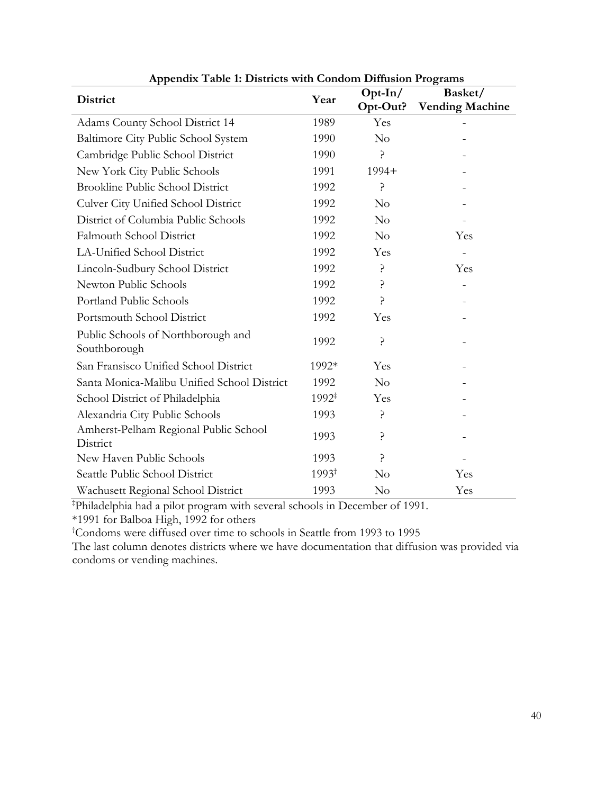| <b>District</b>                                    | Year              | $Opt-In/$ | Basket/                |  |
|----------------------------------------------------|-------------------|-----------|------------------------|--|
|                                                    |                   | Opt-Out?  | <b>Vending Machine</b> |  |
| Adams County School District 14                    | 1989              | Yes       |                        |  |
| Baltimore City Public School System                | 1990              | No        |                        |  |
| Cambridge Public School District                   | 1990              | 5.        |                        |  |
| New York City Public Schools                       | 1991              | $1994+$   |                        |  |
| <b>Brookline Public School District</b>            | 1992              | ć.        |                        |  |
| <b>Culver City Unified School District</b>         | 1992              | No        |                        |  |
| District of Columbia Public Schools                | 1992              | No        |                        |  |
| <b>Falmouth School District</b>                    | 1992              | No        | Yes                    |  |
| LA-Unified School District                         | 1992              | Yes       |                        |  |
| Lincoln-Sudbury School District                    | 1992              | ?         | Yes                    |  |
| Newton Public Schools                              | 1992              | 5.        |                        |  |
| Portland Public Schools                            | 1992              | 5         |                        |  |
| Portsmouth School District                         | 1992              | Yes       |                        |  |
| Public Schools of Northborough and<br>Southborough | 1992              | ?         |                        |  |
| San Fransisco Unified School District              | 1992*             | Yes       |                        |  |
| Santa Monica-Malibu Unified School District        | 1992              | No        |                        |  |
| School District of Philadelphia                    | $1992^{\ddagger}$ | Yes       |                        |  |
| Alexandria City Public Schools                     | 1993              | Ç.        |                        |  |
| Amherst-Pelham Regional Public School<br>District  | 1993              | ?         |                        |  |
| New Haven Public Schools                           | 1993              | 5         |                        |  |
| Seattle Public School District                     | $1993^{\dagger}$  | No        | Yes                    |  |
| Wachusett Regional School District                 | 1993              | $\rm No$  | Yes                    |  |

**Appendix Table 1: Districts with Condom Diffusion Programs**

‡ Philadelphia had a pilot program with several schools in December of 1991.

\*1991 for Balboa High, 1992 for others

† Condoms were diffused over time to schools in Seattle from 1993 to 1995

The last column denotes districts where we have documentation that diffusion was provided via condoms or vending machines.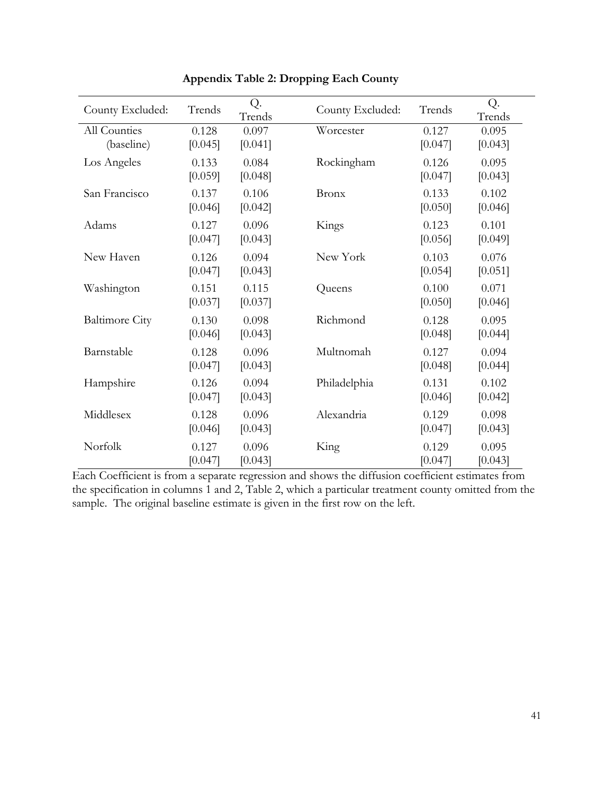| County Excluded:           | Trends           | Q.<br>Trends     | County Excluded: | Trends           | Q.<br>Trends     |
|----------------------------|------------------|------------------|------------------|------------------|------------------|
| All Counties<br>(baseline) | 0.128<br>[0.045] | 0.097<br>[0.041] | Worcester        | 0.127<br>[0.047] | 0.095<br>[0.043] |
| Los Angeles                | 0.133<br>[0.059] | 0.084<br>[0.048] | Rockingham       | 0.126<br>[0.047] | 0.095<br>[0.043] |
| San Francisco              | 0.137<br>[0.046] | 0.106<br>[0.042] | <b>Bronx</b>     | 0.133<br>[0.050] | 0.102<br>[0.046] |
| Adams                      | 0.127<br>[0.047] | 0.096<br>[0.043] | Kings            | 0.123<br>[0.056] | 0.101<br>[0.049] |
| New Haven                  | 0.126<br>[0.047] | 0.094<br>[0.043] | New York         | 0.103<br>[0.054] | 0.076<br>[0.051] |
| Washington                 | 0.151<br>[0.037] | 0.115<br>[0.037] | Queens           | 0.100<br>[0.050] | 0.071<br>[0.046] |
| <b>Baltimore City</b>      | 0.130<br>[0.046] | 0.098<br>[0.043] | Richmond         | 0.128<br>[0.048] | 0.095<br>[0.044] |
| Barnstable                 | 0.128<br>[0.047] | 0.096<br>[0.043] | Multnomah        | 0.127<br>[0.048] | 0.094<br>[0.044] |
| Hampshire                  | 0.126<br>[0.047] | 0.094<br>[0.043] | Philadelphia     | 0.131<br>[0.046] | 0.102<br>[0.042] |
| Middlesex                  | 0.128<br>[0.046] | 0.096<br>[0.043] | Alexandria       | 0.129<br>[0.047] | 0.098<br>[0.043] |
| Norfolk                    | 0.127<br>[0.047] | 0.096<br>[0.043] | King             | 0.129<br>[0.047] | 0.095<br>[0.043] |

**Appendix Table 2: Dropping Each County**

Each Coefficient is from a separate regression and shows the diffusion coefficient estimates from the specification in columns 1 and 2, Table 2, which a particular treatment county omitted from the sample. The original baseline estimate is given in the first row on the left.